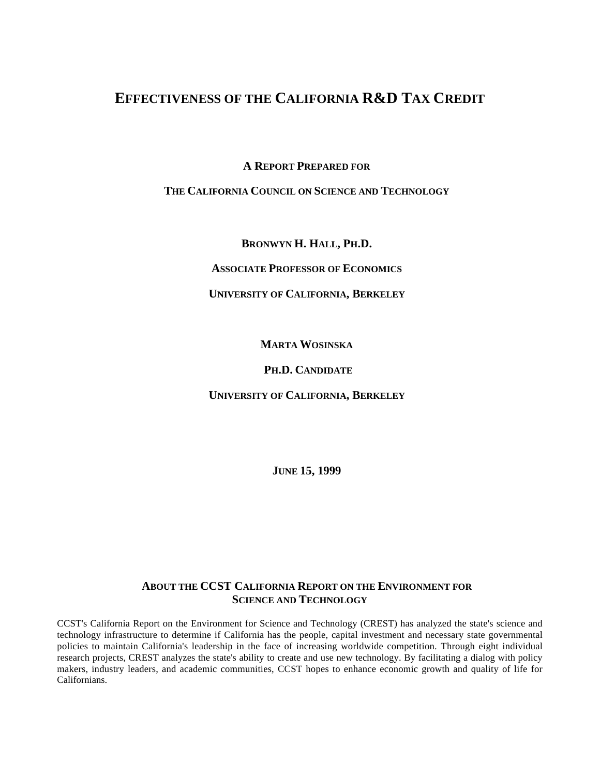## **EFFECTIVENESS OF THE CALIFORNIA R&D TAX CREDIT**

**A REPORT PREPARED FOR**

## **THE CALIFORNIA COUNCIL ON SCIENCE AND TECHNOLOGY**

**BRONWYN H. HALL, PH.D.**

**ASSOCIATE PROFESSOR OF ECONOMICS**

## **UNIVERSITY OF CALIFORNIA, BERKELEY**

**MARTA WOSINSKA**

## **PH.D. CANDIDATE**

**UNIVERSITY OF CALIFORNIA, BERKELEY**

**JUNE 15, 1999**

## **ABOUT THE CCST CALIFORNIA REPORT ON THE ENVIRONMENT FOR SCIENCE AND TECHNOLOGY**

CCST's California Report on the Environment for Science and Technology (CREST) has analyzed the state's science and technology infrastructure to determine if California has the people, capital investment and necessary state governmental policies to maintain California's leadership in the face of increasing worldwide competition. Through eight individual research projects, CREST analyzes the state's ability to create and use new technology. By facilitating a dialog with policy makers, industry leaders, and academic communities, CCST hopes to enhance economic growth and quality of life for Californians.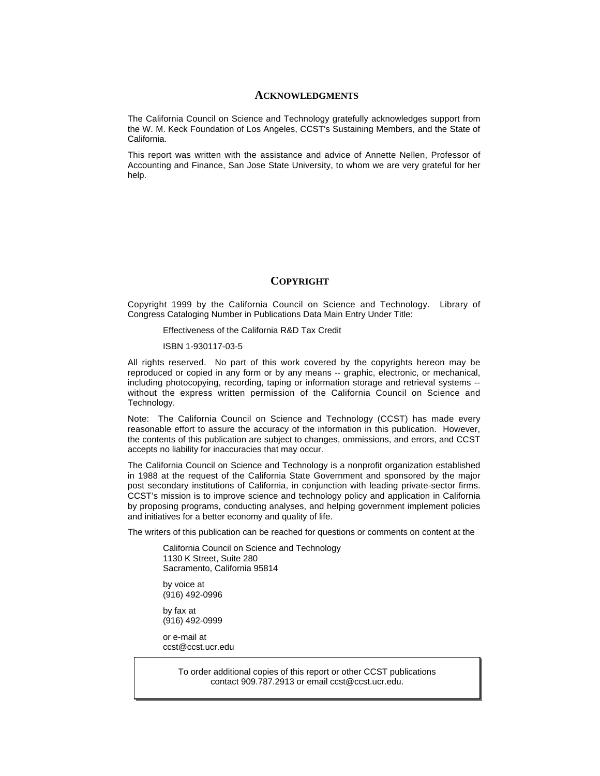#### **ACKNOWLEDGMENTS**

The California Council on Science and Technology gratefully acknowledges support from the W. M. Keck Foundation of Los Angeles, CCST's Sustaining Members, and the State of California.

This report was written with the assistance and advice of Annette Nellen, Professor of Accounting and Finance, San Jose State University, to whom we are very grateful for her help.

### **COPYRIGHT**

Copyright 1999 by the California Council on Science and Technology. Library of Congress Cataloging Number in Publications Data Main Entry Under Title:

Effectiveness of the California R&D Tax Credit

ISBN 1-930117-03-5

All rights reserved. No part of this work covered by the copyrights hereon may be reproduced or copied in any form or by any means -- graphic, electronic, or mechanical, including photocopying, recording, taping or information storage and retrieval systems - without the express written permission of the California Council on Science and Technology.

Note: The California Council on Science and Technology (CCST) has made every reasonable effort to assure the accuracy of the information in this publication. However, the contents of this publication are subject to changes, ommissions, and errors, and CCST accepts no liability for inaccuracies that may occur.

The California Council on Science and Technology is a nonprofit organization established in 1988 at the request of the California State Government and sponsored by the major post secondary institutions of California, in conjunction with leading private-sector firms. CCST's mission is to improve science and technology policy and application in California by proposing programs, conducting analyses, and helping government implement policies and initiatives for a better economy and quality of life.

The writers of this publication can be reached for questions or comments on content at the

California Council on Science and Technology 1130 K Street, Suite 280 Sacramento, California 95814

by voice at (916) 492-0996

by fax at (916) 492-0999

or e-mail at ccst@ccst.ucr.edu

> To order additional copies of this report or other CCST publications contact 909.787.2913 or email ccst@ccst.ucr.edu.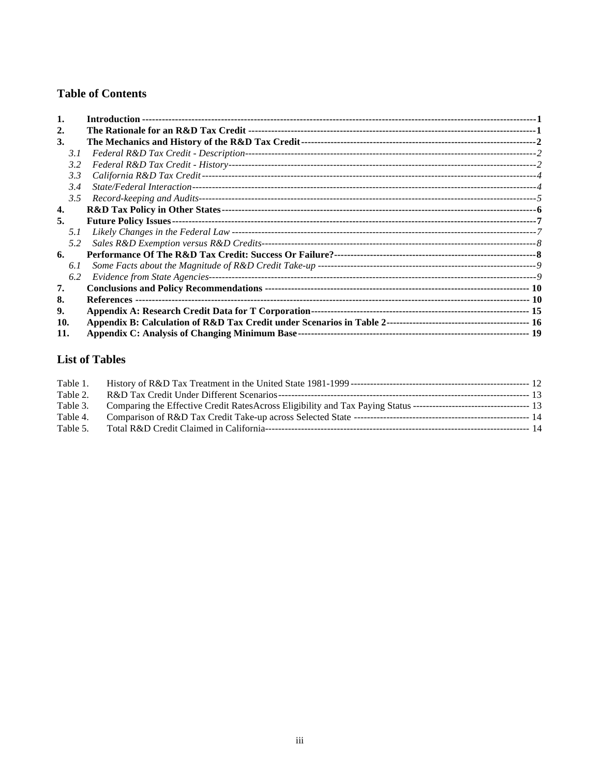## **Table of Contents**

| 2.  |  |
|-----|--|
| 3.  |  |
| 3.1 |  |
| 3.2 |  |
| 3.3 |  |
| 3.4 |  |
| 3.5 |  |
| 4.  |  |
| 5.  |  |
| 5.1 |  |
| 5.2 |  |
| 6.  |  |
| 6.1 |  |
| 6.2 |  |
| 7.  |  |
| 8.  |  |
| 9.  |  |
| 10. |  |
| 11. |  |

## **List of Tables**

| Table 1. |  |
|----------|--|
| Table 2. |  |
| Table 3. |  |
| Table 4. |  |
| Table 5. |  |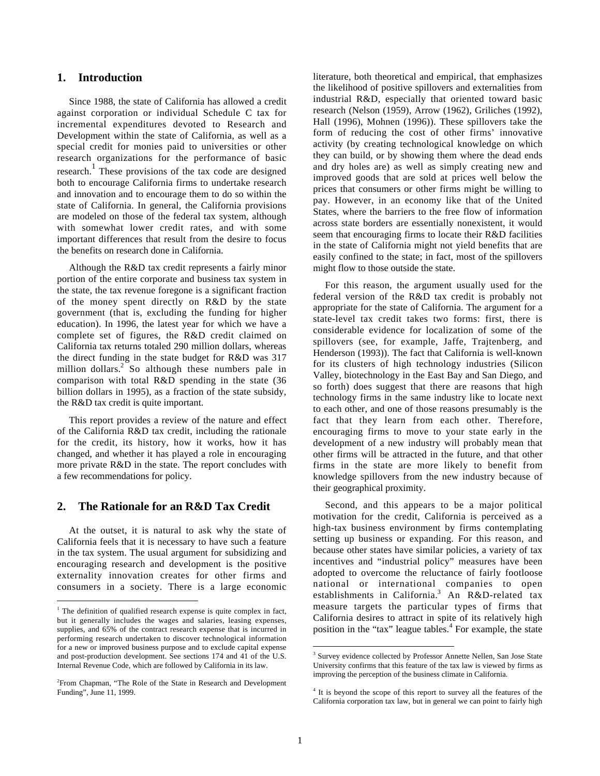#### **1. Introduction**

Since 1988, the state of California has allowed a credit against corporation or individual Schedule C tax for incremental expenditures devoted to Research and Development within the state of California, as well as a special credit for monies paid to universities or other research organizations for the performance of basic research.<sup>1</sup> These provisions of the tax code are designed both to encourage California firms to undertake research and innovation and to encourage them to do so within the state of California. In general, the California provisions are modeled on those of the federal tax system, although with somewhat lower credit rates, and with some important differences that result from the desire to focus the benefits on research done in California.

Although the R&D tax credit represents a fairly minor portion of the entire corporate and business tax system in the state, the tax revenue foregone is a significant fraction of the money spent directly on R&D by the state government (that is, excluding the funding for higher education). In 1996, the latest year for which we have a complete set of figures, the R&D credit claimed on California tax returns totaled 290 million dollars, whereas the direct funding in the state budget for R&D was 317 million dollars.<sup>2</sup> So although these numbers pale in comparison with total R&D spending in the state (36 billion dollars in 1995), as a fraction of the state subsidy, the R&D tax credit is quite important.

This report provides a review of the nature and effect of the California R&D tax credit, including the rationale for the credit, its history, how it works, how it has changed, and whether it has played a role in encouraging more private R&D in the state. The report concludes with a few recommendations for policy.

### **2. The Rationale for an R&D Tax Credit**

At the outset, it is natural to ask why the state of California feels that it is necessary to have such a feature in the tax system. The usual argument for subsidizing and encouraging research and development is the positive externality innovation creates for other firms and consumers in a society. There is a large economic

literature, both theoretical and empirical, that emphasizes the likelihood of positive spillovers and externalities from industrial R&D, especially that oriented toward basic research (Nelson (1959), Arrow (1962), Griliches (1992), Hall (1996), Mohnen (1996)). These spillovers take the form of reducing the cost of other firms' innovative activity (by creating technological knowledge on which they can build, or by showing them where the dead ends and dry holes are) as well as simply creating new and improved goods that are sold at prices well below the prices that consumers or other firms might be willing to pay. However, in an economy like that of the United States, where the barriers to the free flow of information across state borders are essentially nonexistent, it would seem that encouraging firms to locate their R&D facilities in the state of California might not yield benefits that are easily confined to the state; in fact, most of the spillovers might flow to those outside the state.

For this reason, the argument usually used for the federal version of the R&D tax credit is probably not appropriate for the state of California. The argument for a state-level tax credit takes two forms: first, there is considerable evidence for localization of some of the spillovers (see, for example, Jaffe, Trajtenberg, and Henderson (1993)). The fact that California is well-known for its clusters of high technology industries (Silicon Valley, biotechnology in the East Bay and San Diego, and so forth) does suggest that there are reasons that high technology firms in the same industry like to locate next to each other, and one of those reasons presumably is the fact that they learn from each other. Therefore, encouraging firms to move to your state early in the development of a new industry will probably mean that other firms will be attracted in the future, and that other firms in the state are more likely to benefit from knowledge spillovers from the new industry because of their geographical proximity.

Second, and this appears to be a major political motivation for the credit, California is perceived as a high-tax business environment by firms contemplating setting up business or expanding. For this reason, and because other states have similar policies, a variety of tax incentives and "industrial policy" measures have been adopted to overcome the reluctance of fairly footloose national or international companies to open establishments in California.<sup>3</sup> An R&D-related tax measure targets the particular types of firms that California desires to attract in spite of its relatively high position in the "tax" league tables.<sup>4</sup> For example, the state

 $\frac{1}{1}$  $1$ <sup>1</sup> The definition of qualified research expense is quite complex in fact, but it generally includes the wages and salaries, leasing expenses, supplies, and 65% of the contract research expense that is incurred in performing research undertaken to discover technological information for a new or improved business purpose and to exclude capital expense and post-production development. See sections 174 and 41 of the U.S. Internal Revenue Code, which are followed by California in its law.

<sup>&</sup>lt;sup>2</sup> From Chapman, "The Role of the State in Research and Development Funding", June 11, 1999.

<sup>-&</sup>lt;br>3 <sup>3</sup> Survey evidence collected by Professor Annette Nellen, San Jose State University confirms that this feature of the tax law is viewed by firms as improving the perception of the business climate in California.

<sup>&</sup>lt;sup>4</sup> It is beyond the scope of this report to survey all the features of the California corporation tax law, but in general we can point to fairly high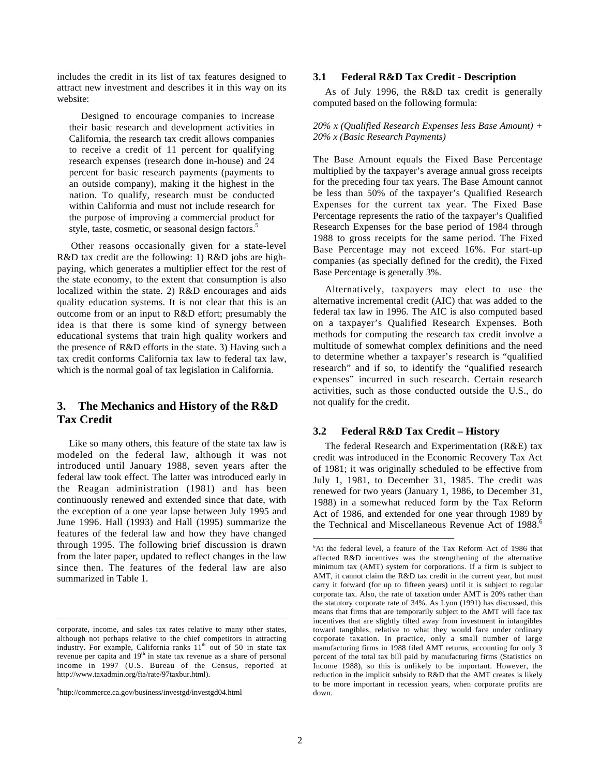includes the credit in its list of tax features designed to attract new investment and describes it in this way on its website:

Designed to encourage companies to increase their basic research and development activities in California, the research tax credit allows companies to receive a credit of 11 percent for qualifying research expenses (research done in-house) and 24 percent for basic research payments (payments to an outside company), making it the highest in the nation. To qualify, research must be conducted within California and must not include research for the purpose of improving a commercial product for style, taste, cosmetic, or seasonal design factors.<sup>5</sup>

Other reasons occasionally given for a state-level R&D tax credit are the following: 1) R&D jobs are highpaying, which generates a multiplier effect for the rest of the state economy, to the extent that consumption is also localized within the state. 2) R&D encourages and aids quality education systems. It is not clear that this is an outcome from or an input to R&D effort; presumably the idea is that there is some kind of synergy between educational systems that train high quality workers and the presence of R&D efforts in the state. 3) Having such a tax credit conforms California tax law to federal tax law, which is the normal goal of tax legislation in California.

## **3. The Mechanics and History of the R&D Tax Credit**

Like so many others, this feature of the state tax law is modeled on the federal law, although it was not introduced until January 1988, seven years after the federal law took effect. The latter was introduced early in the Reagan administration (1981) and has been continuously renewed and extended since that date, with the exception of a one year lapse between July 1995 and June 1996. Hall (1993) and Hall (1995) summarize the features of the federal law and how they have changed through 1995. The following brief discussion is drawn from the later paper, updated to reflect changes in the law since then. The features of the federal law are also summarized in Table 1.

#### **3.1 Federal R&D Tax Credit - Description**

As of July 1996, the R&D tax credit is generally computed based on the following formula:

#### *20% x (Qualified Research Expenses less Base Amount) + 20% x (Basic Research Payments)*

The Base Amount equals the Fixed Base Percentage multiplied by the taxpayer's average annual gross receipts for the preceding four tax years. The Base Amount cannot be less than 50% of the taxpayer's Qualified Research Expenses for the current tax year. The Fixed Base Percentage represents the ratio of the taxpayer's Qualified Research Expenses for the base period of 1984 through 1988 to gross receipts for the same period. The Fixed Base Percentage may not exceed 16%. For start-up companies (as specially defined for the credit), the Fixed Base Percentage is generally 3%.

Alternatively, taxpayers may elect to use the alternative incremental credit (AIC) that was added to the federal tax law in 1996. The AIC is also computed based on a taxpayer's Qualified Research Expenses. Both methods for computing the research tax credit involve a multitude of somewhat complex definitions and the need to determine whether a taxpayer's research is "qualified research" and if so, to identify the "qualified research expenses" incurred in such research. Certain research activities, such as those conducted outside the U.S., do not qualify for the credit.

#### **3.2 Federal R&D Tax Credit – History**

The federal Research and Experimentation (R&E) tax credit was introduced in the Economic Recovery Tax Act of 1981; it was originally scheduled to be effective from July 1, 1981, to December 31, 1985. The credit was renewed for two years (January 1, 1986, to December 31, 1988) in a somewhat reduced form by the Tax Reform Act of 1986, and extended for one year through 1989 by the Technical and Miscellaneous Revenue Act of 1988.<sup>6</sup>

corporate, income, and sales tax rates relative to many other states, although not perhaps relative to the chief competitors in attracting industry. For example, California ranks  $11<sup>th</sup>$  out of 50 in state tax revenue per capita and 19<sup>th</sup> in state tax revenue as a share of personal income in 1997 (U.S. Bureau of the Census, reported at http://www.taxadmin.org/fta/rate/97taxbur.html).

<sup>5</sup> http://commerce.ca.gov/business/investgd/investgd04.html

 <sup>6</sup>  $6$ At the federal level, a feature of the Tax Reform Act of 1986 that affected R&D incentives was the strengthening of the alternative minimum tax (AMT) system for corporations. If a firm is subject to AMT, it cannot claim the R&D tax credit in the current year, but must carry it forward (for up to fifteen years) until it is subject to regular corporate tax. Also, the rate of taxation under AMT is 20% rather than the statutory corporate rate of 34%. As Lyon (1991) has discussed, this means that firms that are temporarily subject to the AMT will face tax incentives that are slightly tilted away from investment in intangibles toward tangibles, relative to what they would face under ordinary corporate taxation. In practice, only a small number of large manufacturing firms in 1988 filed AMT returns, accounting for only 3 percent of the total tax bill paid by manufacturing firms (Statistics on Income 1988), so this is unlikely to be important. However, the reduction in the implicit subsidy to R&D that the AMT creates is likely to be more important in recession years, when corporate profits are down.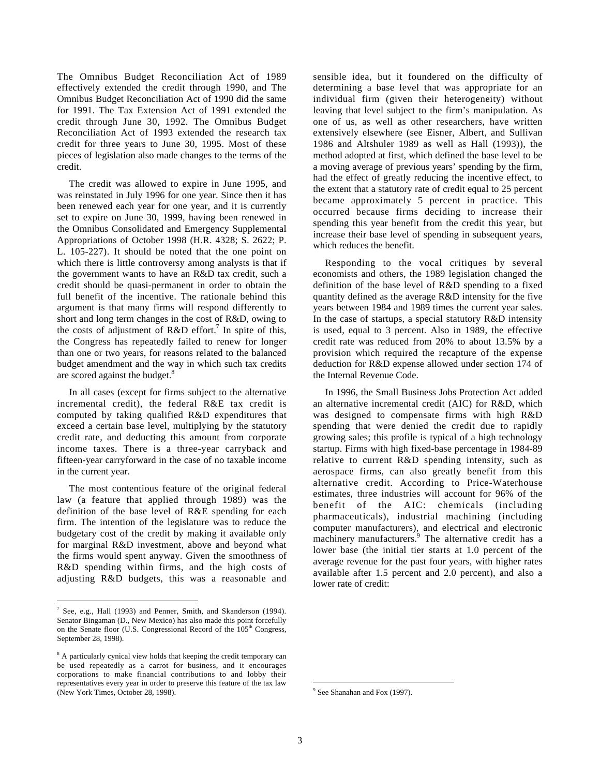The Omnibus Budget Reconciliation Act of 1989 effectively extended the credit through 1990, and The Omnibus Budget Reconciliation Act of 1990 did the same for 1991. The Tax Extension Act of 1991 extended the credit through June 30, 1992. The Omnibus Budget Reconciliation Act of 1993 extended the research tax credit for three years to June 30, 1995. Most of these pieces of legislation also made changes to the terms of the credit.

The credit was allowed to expire in June 1995, and was reinstated in July 1996 for one year. Since then it has been renewed each year for one year, and it is currently set to expire on June 30, 1999, having been renewed in the Omnibus Consolidated and Emergency Supplemental Appropriations of October 1998 (H.R. 4328; S. 2622; P. L. 105-227). It should be noted that the one point on which there is little controversy among analysts is that if the government wants to have an R&D tax credit, such a credit should be quasi-permanent in order to obtain the full benefit of the incentive. The rationale behind this argument is that many firms will respond differently to short and long term changes in the cost of R&D, owing to the costs of adjustment of R&D effort.<sup>7</sup> In spite of this, the Congress has repeatedly failed to renew for longer than one or two years, for reasons related to the balanced budget amendment and the way in which such tax credits are scored against the budget.<sup>8</sup>

In all cases (except for firms subject to the alternative incremental credit), the federal R&E tax credit is computed by taking qualified R&D expenditures that exceed a certain base level, multiplying by the statutory credit rate, and deducting this amount from corporate income taxes. There is a three-year carryback and fifteen-year carryforward in the case of no taxable income in the current year.

The most contentious feature of the original federal law (a feature that applied through 1989) was the definition of the base level of R&E spending for each firm. The intention of the legislature was to reduce the budgetary cost of the credit by making it available only for marginal R&D investment, above and beyond what the firms would spent anyway. Given the smoothness of R&D spending within firms, and the high costs of adjusting R&D budgets, this was a reasonable and sensible idea, but it foundered on the difficulty of determining a base level that was appropriate for an individual firm (given their heterogeneity) without leaving that level subject to the firm's manipulation. As one of us, as well as other researchers, have written extensively elsewhere (see Eisner, Albert, and Sullivan 1986 and Altshuler 1989 as well as Hall (1993)), the method adopted at first, which defined the base level to be a moving average of previous years' spending by the firm, had the effect of greatly reducing the incentive effect, to the extent that a statutory rate of credit equal to 25 percent became approximately 5 percent in practice. This occurred because firms deciding to increase their spending this year benefit from the credit this year, but increase their base level of spending in subsequent years, which reduces the benefit.

Responding to the vocal critiques by several economists and others, the 1989 legislation changed the definition of the base level of R&D spending to a fixed quantity defined as the average R&D intensity for the five years between 1984 and 1989 times the current year sales. In the case of startups, a special statutory R&D intensity is used, equal to 3 percent. Also in 1989, the effective credit rate was reduced from 20% to about 13.5% by a provision which required the recapture of the expense deduction for R&D expense allowed under section 174 of the Internal Revenue Code.

In 1996, the Small Business Jobs Protection Act added an alternative incremental credit (AIC) for R&D, which was designed to compensate firms with high R&D spending that were denied the credit due to rapidly growing sales; this profile is typical of a high technology startup. Firms with high fixed-base percentage in 1984-89 relative to current R&D spending intensity, such as aerospace firms, can also greatly benefit from this alternative credit. According to Price-Waterhouse estimates, three industries will account for 96% of the benefit of the AIC: chemicals (including pharmaceuticals), industrial machining (including computer manufacturers), and electrical and electronic machinery manufacturers.<sup>9</sup> The alternative credit has a lower base (the initial tier starts at 1.0 percent of the average revenue for the past four years, with higher rates available after 1.5 percent and 2.0 percent), and also a lower rate of credit:

<sup>-&</sup>lt;br>7 <sup>7</sup> See, e.g., Hall (1993) and Penner, Smith, and Skanderson (1994). Senator Bingaman (D., New Mexico) has also made this point forcefully on the Senate floor (U.S. Congressional Record of the 105<sup>th</sup> Congress, September 28, 1998).

<sup>&</sup>lt;sup>8</sup> A particularly cynical view holds that keeping the credit temporary can be used repeatedly as a carrot for business, and it encourages corporations to make financial contributions to and lobby their representatives every year in order to preserve this feature of the tax law (New York Times, October 28, 1998).

<sup>-&</sup>lt;br>9 <sup>9</sup> See Shanahan and Fox (1997).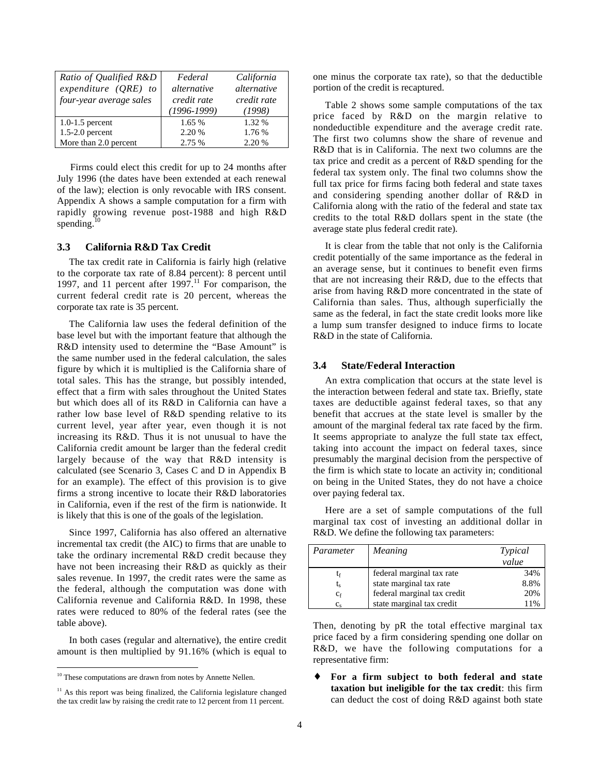| Ratio of Qualified R&D<br>expenditure $(QRE)$ to<br>four-year average sales | Federal<br>alternative<br>credit rate<br>$(1996 - 1999)$ | California<br>alternative<br>credit rate<br>(1998) |
|-----------------------------------------------------------------------------|----------------------------------------------------------|----------------------------------------------------|
| $1.0 - 1.5$ percent                                                         | 1.65 %                                                   | 1.32 %                                             |
| $1.5-2.0$ percent                                                           | 2.20 %                                                   | 1.76 %                                             |
| More than 2.0 percent                                                       | 2.75 %                                                   | 2.20 %                                             |

Firms could elect this credit for up to 24 months after July 1996 (the dates have been extended at each renewal of the law); election is only revocable with IRS consent. Appendix A shows a sample computation for a firm with rapidly growing revenue post-1988 and high R&D spending. $10$ 

#### **3.3 California R&D Tax Credit**

The tax credit rate in California is fairly high (relative to the corporate tax rate of 8.84 percent): 8 percent until 1997, and 11 percent after  $1997$ .<sup>11</sup> For comparison, the current federal credit rate is 20 percent, whereas the corporate tax rate is 35 percent.

The California law uses the federal definition of the base level but with the important feature that although the R&D intensity used to determine the "Base Amount" is the same number used in the federal calculation, the sales figure by which it is multiplied is the California share of total sales. This has the strange, but possibly intended, effect that a firm with sales throughout the United States but which does all of its R&D in California can have a rather low base level of R&D spending relative to its current level, year after year, even though it is not increasing its R&D. Thus it is not unusual to have the California credit amount be larger than the federal credit largely because of the way that R&D intensity is calculated (see Scenario 3, Cases C and D in Appendix B for an example). The effect of this provision is to give firms a strong incentive to locate their R&D laboratories in California, even if the rest of the firm is nationwide. It is likely that this is one of the goals of the legislation.

Since 1997, California has also offered an alternative incremental tax credit (the AIC) to firms that are unable to take the ordinary incremental R&D credit because they have not been increasing their R&D as quickly as their sales revenue. In 1997, the credit rates were the same as the federal, although the computation was done with California revenue and California R&D. In 1998, these rates were reduced to 80% of the federal rates (see the table above).

In both cases (regular and alternative), the entire credit amount is then multiplied by 91.16% (which is equal to

one minus the corporate tax rate), so that the deductible portion of the credit is recaptured.

Table 2 shows some sample computations of the tax price faced by R&D on the margin relative to nondeductible expenditure and the average credit rate. The first two columns show the share of revenue and R&D that is in California. The next two columns are the tax price and credit as a percent of R&D spending for the federal tax system only. The final two columns show the full tax price for firms facing both federal and state taxes and considering spending another dollar of R&D in California along with the ratio of the federal and state tax credits to the total R&D dollars spent in the state (the average state plus federal credit rate).

It is clear from the table that not only is the California credit potentially of the same importance as the federal in an average sense, but it continues to benefit even firms that are not increasing their R&D, due to the effects that arise from having R&D more concentrated in the state of California than sales. Thus, although superficially the same as the federal, in fact the state credit looks more like a lump sum transfer designed to induce firms to locate R&D in the state of California.

#### **3.4 State/Federal Interaction**

An extra complication that occurs at the state level is the interaction between federal and state tax. Briefly, state taxes are deductible against federal taxes, so that any benefit that accrues at the state level is smaller by the amount of the marginal federal tax rate faced by the firm. It seems appropriate to analyze the full state tax effect, taking into account the impact on federal taxes, since presumably the marginal decision from the perspective of the firm is which state to locate an activity in; conditional on being in the United States, they do not have a choice over paying federal tax.

Here are a set of sample computations of the full marginal tax cost of investing an additional dollar in R&D. We define the following tax parameters:

| Parameter | <i>Meaning</i>              | Typical |
|-----------|-----------------------------|---------|
|           |                             | value   |
| ľf        | federal marginal tax rate   | 34%     |
| t,        | state marginal tax rate     | 8.8%    |
| $c_f$     | federal marginal tax credit | 20%     |
| $C_{S}$   | state marginal tax credit   | 11%     |

Then, denoting by pR the total effective marginal tax price faced by a firm considering spending one dollar on R&D, we have the following computations for a representative firm:

♦ **For a firm subject to both federal and state taxation but ineligible for the tax credit**: this firm can deduct the cost of doing R&D against both state

<sup>&</sup>lt;sup>10</sup> These computations are drawn from notes by Annette Nellen.

<sup>&</sup>lt;sup>11</sup> As this report was being finalized, the California legislature changed the tax credit law by raising the credit rate to 12 percent from 11 percent.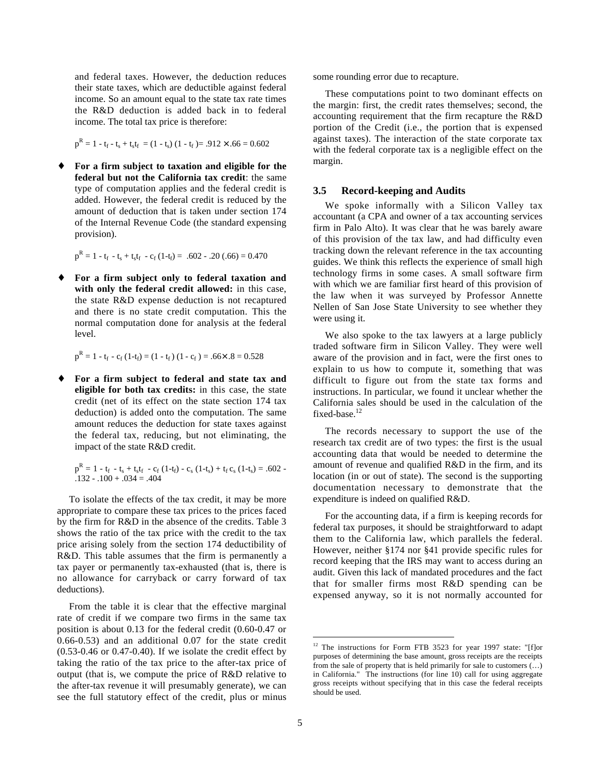and federal taxes. However, the deduction reduces their state taxes, which are deductible against federal income. So an amount equal to the state tax rate times the R&D deduction is added back in to federal income. The total tax price is therefore:

$$
p^R = 1 - t_f - t_s + t_s t_f = (1 - t_s) (1 - t_f) = .912 \times .66 = 0.602
$$

♦ **For a firm subject to taxation and eligible for the federal but not the California tax credit**: the same type of computation applies and the federal credit is added. However, the federal credit is reduced by the amount of deduction that is taken under section 174 of the Internal Revenue Code (the standard expensing provision).

 $p^R = 1 - t_f - t_s + t_s t_f - c_f (1 - t_f) = .602 - .20 (.66) = 0.470$ 

♦ **For a firm subject only to federal taxation and with only the federal credit allowed:** in this case, the state R&D expense deduction is not recaptured and there is no state credit computation. This the normal computation done for analysis at the federal level.

$$
p^R = 1 - t_f - c_f (1 - t_f) = (1 - t_f) (1 - c_f) = .66 \times .8 = 0.528
$$

♦ **For a firm subject to federal and state tax and eligible for both tax credits:** in this case, the state credit (net of its effect on the state section 174 tax deduction) is added onto the computation. The same amount reduces the deduction for state taxes against the federal tax, reducing, but not eliminating, the impact of the state R&D credit.

 $p^R = 1 - t_f - t_s + t_s t_f - c_f (1-t_f) - c_s (1-t_s) + t_f c_s (1-t_s) = .602 .132 - .100 + .034 = .404$ 

To isolate the effects of the tax credit, it may be more appropriate to compare these tax prices to the prices faced by the firm for R&D in the absence of the credits. Table 3 shows the ratio of the tax price with the credit to the tax price arising solely from the section 174 deductibility of R&D. This table assumes that the firm is permanently a tax payer or permanently tax-exhausted (that is, there is no allowance for carryback or carry forward of tax deductions).

From the table it is clear that the effective marginal rate of credit if we compare two firms in the same tax position is about 0.13 for the federal credit (0.60-0.47 or 0.66-0.53) and an additional 0.07 for the state credit  $(0.53-0.46$  or  $0.47-0.40)$ . If we isolate the credit effect by taking the ratio of the tax price to the after-tax price of output (that is, we compute the price of R&D relative to the after-tax revenue it will presumably generate), we can see the full statutory effect of the credit, plus or minus some rounding error due to recapture.

These computations point to two dominant effects on the margin: first, the credit rates themselves; second, the accounting requirement that the firm recapture the R&D portion of the Credit (i.e., the portion that is expensed against taxes). The interaction of the state corporate tax with the federal corporate tax is a negligible effect on the margin.

#### **3.5 Record-keeping and Audits**

We spoke informally with a Silicon Valley tax accountant (a CPA and owner of a tax accounting services firm in Palo Alto). It was clear that he was barely aware of this provision of the tax law, and had difficulty even tracking down the relevant reference in the tax accounting guides. We think this reflects the experience of small high technology firms in some cases. A small software firm with which we are familiar first heard of this provision of the law when it was surveyed by Professor Annette Nellen of San Jose State University to see whether they were using it.

We also spoke to the tax lawyers at a large publicly traded software firm in Silicon Valley. They were well aware of the provision and in fact, were the first ones to explain to us how to compute it, something that was difficult to figure out from the state tax forms and instructions. In particular, we found it unclear whether the California sales should be used in the calculation of the fixed-base.<sup>12</sup>

The records necessary to support the use of the research tax credit are of two types: the first is the usual accounting data that would be needed to determine the amount of revenue and qualified R&D in the firm, and its location (in or out of state). The second is the supporting documentation necessary to demonstrate that the expenditure is indeed on qualified R&D.

For the accounting data, if a firm is keeping records for federal tax purposes, it should be straightforward to adapt them to the California law, which parallels the federal. However, neither §174 nor §41 provide specific rules for record keeping that the IRS may want to access during an audit. Given this lack of mandated procedures and the fact that for smaller firms most R&D spending can be expensed anyway, so it is not normally accounted for

<sup>&</sup>lt;sup>12</sup> The instructions for Form FTB 3523 for year 1997 state: "[f]or purposes of determining the base amount, gross receipts are the receipts from the sale of property that is held primarily for sale to customers (…) in California." The instructions (for line 10) call for using aggregate gross receipts without specifying that in this case the federal receipts should be used.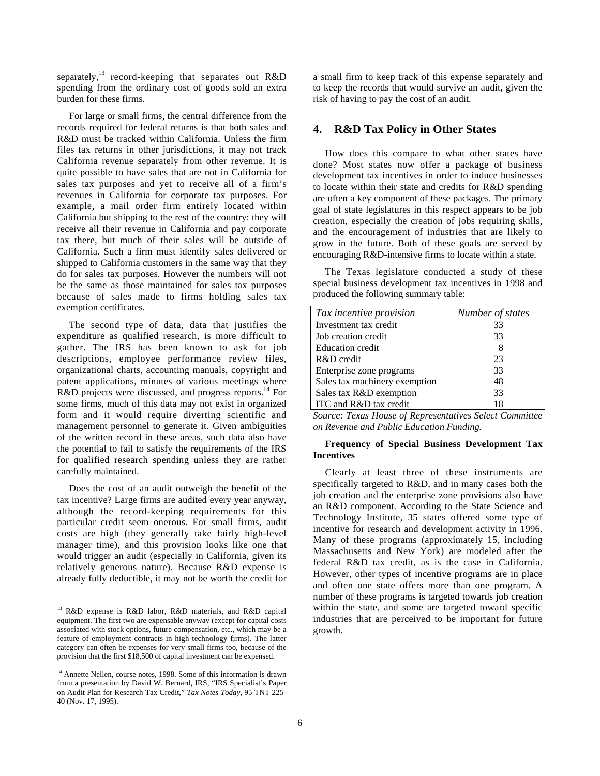separately,<sup>13</sup> record-keeping that separates out  $R&D$ spending from the ordinary cost of goods sold an extra burden for these firms.

For large or small firms, the central difference from the records required for federal returns is that both sales and R&D must be tracked within California. Unless the firm files tax returns in other jurisdictions, it may not track California revenue separately from other revenue. It is quite possible to have sales that are not in California for sales tax purposes and yet to receive all of a firm's revenues in California for corporate tax purposes. For example, a mail order firm entirely located within California but shipping to the rest of the country: they will receive all their revenue in California and pay corporate tax there, but much of their sales will be outside of California. Such a firm must identify sales delivered or shipped to California customers in the same way that they do for sales tax purposes. However the numbers will not be the same as those maintained for sales tax purposes because of sales made to firms holding sales tax exemption certificates.

The second type of data, data that justifies the expenditure as qualified research, is more difficult to gather. The IRS has been known to ask for job descriptions, employee performance review files, organizational charts, accounting manuals, copyright and patent applications, minutes of various meetings where R&D projects were discussed, and progress reports.<sup>14</sup> For some firms, much of this data may not exist in organized form and it would require diverting scientific and management personnel to generate it. Given ambiguities of the written record in these areas, such data also have the potential to fail to satisfy the requirements of the IRS for qualified research spending unless they are rather carefully maintained.

Does the cost of an audit outweigh the benefit of the tax incentive? Large firms are audited every year anyway, although the record-keeping requirements for this particular credit seem onerous. For small firms, audit costs are high (they generally take fairly high-level manager time), and this provision looks like one that would trigger an audit (especially in California, given its relatively generous nature). Because R&D expense is already fully deductible, it may not be worth the credit for a small firm to keep track of this expense separately and to keep the records that would survive an audit, given the risk of having to pay the cost of an audit.

## **4. R&D Tax Policy in Other States**

How does this compare to what other states have done? Most states now offer a package of business development tax incentives in order to induce businesses to locate within their state and credits for R&D spending are often a key component of these packages. The primary goal of state legislatures in this respect appears to be job creation, especially the creation of jobs requiring skills, and the encouragement of industries that are likely to grow in the future. Both of these goals are served by encouraging R&D-intensive firms to locate within a state.

The Texas legislature conducted a study of these special business development tax incentives in 1998 and produced the following summary table:

| Tax incentive provision       | Number of states |
|-------------------------------|------------------|
| Investment tax credit         | 33               |
| Job creation credit           | 33               |
| <b>Education</b> credit       |                  |
| R&D credit                    | 23               |
| Enterprise zone programs      | 33               |
| Sales tax machinery exemption | 48               |
| Sales tax R&D exemption       | 33               |
| ITC and R&D tax credit        |                  |

*Source: Texas House of Representatives Select Committee on Revenue and Public Education Funding.*

#### **Frequency of Special Business Development Tax Incentives**

Clearly at least three of these instruments are specifically targeted to R&D, and in many cases both the job creation and the enterprise zone provisions also have an R&D component. According to the State Science and Technology Institute, 35 states offered some type of incentive for research and development activity in 1996. Many of these programs (approximately 15, including Massachusetts and New York) are modeled after the federal R&D tax credit, as is the case in California. However, other types of incentive programs are in place and often one state offers more than one program. A number of these programs is targeted towards job creation within the state, and some are targeted toward specific industries that are perceived to be important for future growth.

 <sup>13</sup> R&D expense is R&D labor, R&D materials, and R&D capital equipment. The first two are expensable anyway (except for capital costs associated with stock options, future compensation, etc., which may be a feature of employment contracts in high technology firms). The latter category can often be expenses for very small firms too, because of the provision that the first \$18,500 of capital investment can be expensed.

<sup>&</sup>lt;sup>14</sup> Annette Nellen, course notes, 1998. Some of this information is drawn from a presentation by David W. Bernard, IRS, "IRS Specialist's Paper on Audit Plan for Research Tax Credit," *Tax Notes Today*, 95 TNT 225- 40 (Nov. 17, 1995).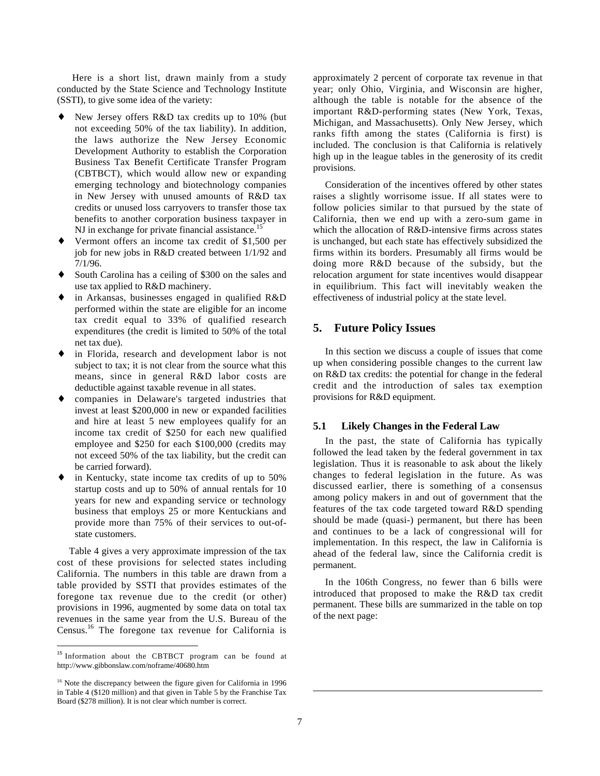Here is a short list, drawn mainly from a study conducted by the State Science and Technology Institute (SSTI), to give some idea of the variety:

- ♦ New Jersey offers R&D tax credits up to 10% (but not exceeding 50% of the tax liability). In addition, the laws authorize the New Jersey Economic Development Authority to establish the Corporation Business Tax Benefit Certificate Transfer Program (CBTBCT), which would allow new or expanding emerging technology and biotechnology companies in New Jersey with unused amounts of R&D tax credits or unused loss carryovers to transfer those tax benefits to another corporation business taxpayer in NJ in exchange for private financial assistance.<sup>1</sup>
- ♦ Vermont offers an income tax credit of \$1,500 per job for new jobs in R&D created between 1/1/92 and 7/1/96.
- ♦ South Carolina has a ceiling of \$300 on the sales and use tax applied to R&D machinery.
- in Arkansas, businesses engaged in qualified  $R&D$ performed within the state are eligible for an income tax credit equal to 33% of qualified research expenditures (the credit is limited to 50% of the total net tax due).
- in Florida, research and development labor is not subject to tax; it is not clear from the source what this means, since in general R&D labor costs are deductible against taxable revenue in all states.
- ♦ companies in Delaware's targeted industries that invest at least \$200,000 in new or expanded facilities and hire at least 5 new employees qualify for an income tax credit of \$250 for each new qualified employee and \$250 for each \$100,000 (credits may not exceed 50% of the tax liability, but the credit can be carried forward).
- ♦ in Kentucky, state income tax credits of up to 50% startup costs and up to 50% of annual rentals for 10 years for new and expanding service or technology business that employs 25 or more Kentuckians and provide more than 75% of their services to out-ofstate customers.

Table 4 gives a very approximate impression of the tax cost of these provisions for selected states including California. The numbers in this table are drawn from a table provided by SSTI that provides estimates of the foregone tax revenue due to the credit (or other) provisions in 1996, augmented by some data on total tax revenues in the same year from the U.S. Bureau of the Census.16 The foregone tax revenue for California is

 $\overline{a}$ 

approximately 2 percent of corporate tax revenue in that year; only Ohio, Virginia, and Wisconsin are higher, although the table is notable for the absence of the important R&D-performing states (New York, Texas, Michigan, and Massachusetts). Only New Jersey, which ranks fifth among the states (California is first) is included. The conclusion is that California is relatively high up in the league tables in the generosity of its credit provisions.

Consideration of the incentives offered by other states raises a slightly worrisome issue. If all states were to follow policies similar to that pursued by the state of California, then we end up with a zero-sum game in which the allocation of R&D-intensive firms across states is unchanged, but each state has effectively subsidized the firms within its borders. Presumably all firms would be doing more R&D because of the subsidy, but the relocation argument for state incentives would disappear in equilibrium. This fact will inevitably weaken the effectiveness of industrial policy at the state level.

### **5. Future Policy Issues**

In this section we discuss a couple of issues that come up when considering possible changes to the current law on R&D tax credits: the potential for change in the federal credit and the introduction of sales tax exemption provisions for R&D equipment.

#### **5.1 Likely Changes in the Federal Law**

In the past, the state of California has typically followed the lead taken by the federal government in tax legislation. Thus it is reasonable to ask about the likely changes to federal legislation in the future. As was discussed earlier, there is something of a consensus among policy makers in and out of government that the features of the tax code targeted toward R&D spending should be made (quasi-) permanent, but there has been and continues to be a lack of congressional will for implementation. In this respect, the law in California is ahead of the federal law, since the California credit is permanent.

In the 106th Congress, no fewer than 6 bills were introduced that proposed to make the R&D tax credit permanent. These bills are summarized in the table on top of the next page:

 $\overline{a}$ 

<sup>&</sup>lt;sup>15</sup> Information about the CBTBCT program can be found at http://www.gibbonslaw.com/noframe/40680.htm

<sup>&</sup>lt;sup>16</sup> Note the discrepancy between the figure given for California in 1996 in Table 4 (\$120 million) and that given in Table 5 by the Franchise Tax Board (\$278 million). It is not clear which number is correct.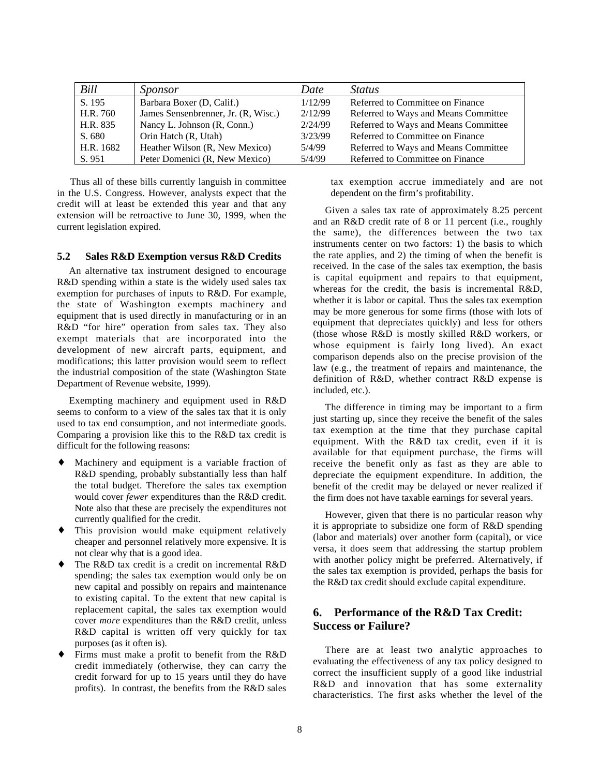| Bill      | Sponsor                             | Date    | <i>Status</i>                        |
|-----------|-------------------------------------|---------|--------------------------------------|
| S. 195    | Barbara Boxer (D, Calif.)           | 1/12/99 | Referred to Committee on Finance     |
| H.R. 760  | James Sensenbrenner, Jr. (R, Wisc.) | 2/12/99 | Referred to Ways and Means Committee |
| H.R. 835  | Nancy L. Johnson (R, Conn.)         | 2/24/99 | Referred to Ways and Means Committee |
| S. 680    | Orin Hatch (R, Utah)                | 3/23/99 | Referred to Committee on Finance     |
| H.R. 1682 | Heather Wilson (R, New Mexico)      | 5/4/99  | Referred to Ways and Means Committee |
| S. 951    | Peter Domenici (R, New Mexico)      | 5/4/99  | Referred to Committee on Finance     |

Thus all of these bills currently languish in committee in the U.S. Congress. However, analysts expect that the credit will at least be extended this year and that any extension will be retroactive to June 30, 1999, when the current legislation expired.

#### **5.2 Sales R&D Exemption versus R&D Credits**

An alternative tax instrument designed to encourage R&D spending within a state is the widely used sales tax exemption for purchases of inputs to R&D. For example, the state of Washington exempts machinery and equipment that is used directly in manufacturing or in an R&D "for hire" operation from sales tax. They also exempt materials that are incorporated into the development of new aircraft parts, equipment, and modifications; this latter provision would seem to reflect the industrial composition of the state (Washington State Department of Revenue website, 1999).

Exempting machinery and equipment used in R&D seems to conform to a view of the sales tax that it is only used to tax end consumption, and not intermediate goods. Comparing a provision like this to the R&D tax credit is difficult for the following reasons:

- Machinery and equipment is a variable fraction of R&D spending, probably substantially less than half the total budget. Therefore the sales tax exemption would cover *fewer* expenditures than the R&D credit. Note also that these are precisely the expenditures not currently qualified for the credit.
- ♦ This provision would make equipment relatively cheaper and personnel relatively more expensive. It is not clear why that is a good idea.
- ♦ The R&D tax credit is a credit on incremental R&D spending; the sales tax exemption would only be on new capital and possibly on repairs and maintenance to existing capital. To the extent that new capital is replacement capital, the sales tax exemption would cover *more* expenditures than the R&D credit, unless R&D capital is written off very quickly for tax purposes (as it often is).
- Firms must make a profit to benefit from the R&D credit immediately (otherwise, they can carry the credit forward for up to 15 years until they do have profits). In contrast, the benefits from the R&D sales

tax exemption accrue immediately and are not dependent on the firm's profitability.

Given a sales tax rate of approximately 8.25 percent and an R&D credit rate of 8 or 11 percent (i.e., roughly the same), the differences between the two tax instruments center on two factors: 1) the basis to which the rate applies, and 2) the timing of when the benefit is received. In the case of the sales tax exemption, the basis is capital equipment and repairs to that equipment, whereas for the credit, the basis is incremental R&D, whether it is labor or capital. Thus the sales tax exemption may be more generous for some firms (those with lots of equipment that depreciates quickly) and less for others (those whose R&D is mostly skilled R&D workers, or whose equipment is fairly long lived). An exact comparison depends also on the precise provision of the law (e.g., the treatment of repairs and maintenance, the definition of R&D, whether contract R&D expense is included, etc.).

The difference in timing may be important to a firm just starting up, since they receive the benefit of the sales tax exemption at the time that they purchase capital equipment. With the R&D tax credit, even if it is available for that equipment purchase, the firms will receive the benefit only as fast as they are able to depreciate the equipment expenditure. In addition, the benefit of the credit may be delayed or never realized if the firm does not have taxable earnings for several years.

However, given that there is no particular reason why it is appropriate to subsidize one form of R&D spending (labor and materials) over another form (capital), or vice versa, it does seem that addressing the startup problem with another policy might be preferred. Alternatively, if the sales tax exemption is provided, perhaps the basis for the R&D tax credit should exclude capital expenditure.

## **6. Performance of the R&D Tax Credit: Success or Failure?**

There are at least two analytic approaches to evaluating the effectiveness of any tax policy designed to correct the insufficient supply of a good like industrial R&D and innovation that has some externality characteristics. The first asks whether the level of the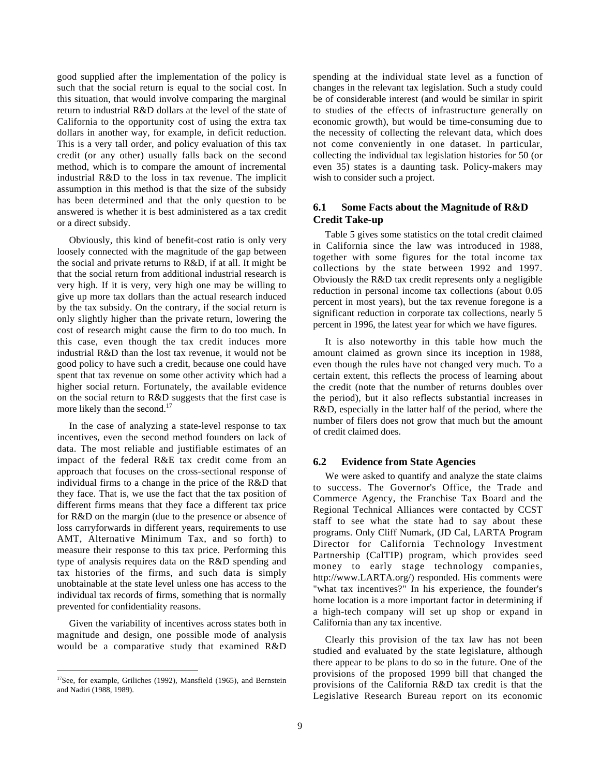good supplied after the implementation of the policy is such that the social return is equal to the social cost. In this situation, that would involve comparing the marginal return to industrial R&D dollars at the level of the state of California to the opportunity cost of using the extra tax dollars in another way, for example, in deficit reduction. This is a very tall order, and policy evaluation of this tax credit (or any other) usually falls back on the second method, which is to compare the amount of incremental industrial R&D to the loss in tax revenue. The implicit assumption in this method is that the size of the subsidy has been determined and that the only question to be answered is whether it is best administered as a tax credit or a direct subsidy.

Obviously, this kind of benefit-cost ratio is only very loosely connected with the magnitude of the gap between the social and private returns to R&D, if at all. It might be that the social return from additional industrial research is very high. If it is very, very high one may be willing to give up more tax dollars than the actual research induced by the tax subsidy. On the contrary, if the social return is only slightly higher than the private return, lowering the cost of research might cause the firm to do too much. In this case, even though the tax credit induces more industrial R&D than the lost tax revenue, it would not be good policy to have such a credit, because one could have spent that tax revenue on some other activity which had a higher social return. Fortunately, the available evidence on the social return to R&D suggests that the first case is more likely than the second.<sup>17</sup>

In the case of analyzing a state-level response to tax incentives, even the second method founders on lack of data. The most reliable and justifiable estimates of an impact of the federal R&E tax credit come from an approach that focuses on the cross-sectional response of individual firms to a change in the price of the R&D that they face. That is, we use the fact that the tax position of different firms means that they face a different tax price for R&D on the margin (due to the presence or absence of loss carryforwards in different years, requirements to use AMT, Alternative Minimum Tax, and so forth) to measure their response to this tax price. Performing this type of analysis requires data on the R&D spending and tax histories of the firms, and such data is simply unobtainable at the state level unless one has access to the individual tax records of firms, something that is normally prevented for confidentiality reasons.

Given the variability of incentives across states both in magnitude and design, one possible mode of analysis would be a comparative study that examined R&D

spending at the individual state level as a function of changes in the relevant tax legislation. Such a study could be of considerable interest (and would be similar in spirit to studies of the effects of infrastructure generally on economic growth), but would be time-consuming due to the necessity of collecting the relevant data, which does not come conveniently in one dataset. In particular, collecting the individual tax legislation histories for 50 (or even 35) states is a daunting task. Policy-makers may wish to consider such a project.

### **6.1 Some Facts about the Magnitude of R&D Credit Take-up**

Table 5 gives some statistics on the total credit claimed in California since the law was introduced in 1988, together with some figures for the total income tax collections by the state between 1992 and 1997. Obviously the R&D tax credit represents only a negligible reduction in personal income tax collections (about 0.05 percent in most years), but the tax revenue foregone is a significant reduction in corporate tax collections, nearly 5 percent in 1996, the latest year for which we have figures.

It is also noteworthy in this table how much the amount claimed as grown since its inception in 1988, even though the rules have not changed very much. To a certain extent, this reflects the process of learning about the credit (note that the number of returns doubles over the period), but it also reflects substantial increases in R&D, especially in the latter half of the period, where the number of filers does not grow that much but the amount of credit claimed does.

#### **6.2 Evidence from State Agencies**

We were asked to quantify and analyze the state claims to success. The Governor's Office, the Trade and Commerce Agency, the Franchise Tax Board and the Regional Technical Alliances were contacted by CCST staff to see what the state had to say about these programs. Only Cliff Numark, (JD Cal, LARTA Program Director for California Technology Investment Partnership (CalTIP) program, which provides seed money to early stage technology companies, http://www.LARTA.org/) responded. His comments were "what tax incentives?" In his experience, the founder's home location is a more important factor in determining if a high-tech company will set up shop or expand in California than any tax incentive.

Clearly this provision of the tax law has not been studied and evaluated by the state legislature, although there appear to be plans to do so in the future. One of the provisions of the proposed 1999 bill that changed the provisions of the California R&D tax credit is that the Legislative Research Bureau report on its economic

 $17$ See, for example, Griliches (1992), Mansfield (1965), and Bernstein and Nadiri (1988, 1989).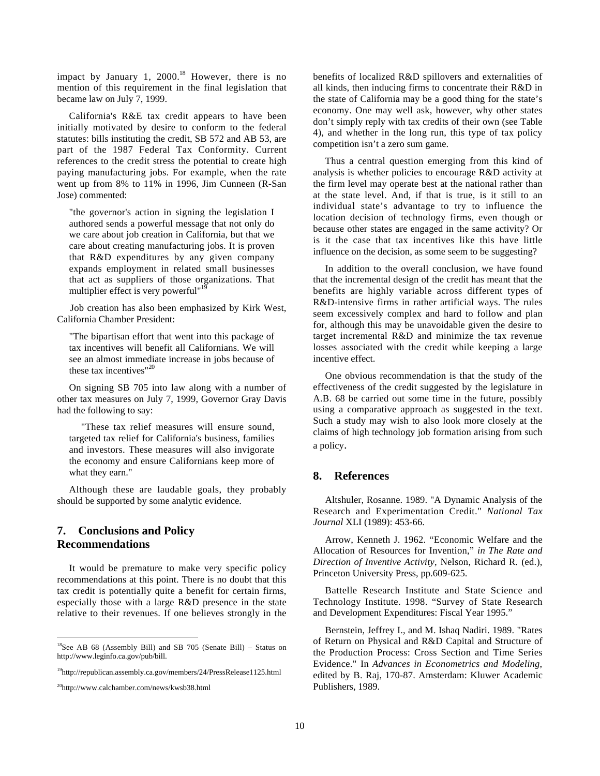impact by January 1,  $2000$ .<sup>18</sup> However, there is no mention of this requirement in the final legislation that became law on July 7, 1999.

California's R&E tax credit appears to have been initially motivated by desire to conform to the federal statutes: bills instituting the credit, SB 572 and AB 53, are part of the 1987 Federal Tax Conformity. Current references to the credit stress the potential to create high paying manufacturing jobs. For example, when the rate went up from 8% to 11% in 1996, Jim Cunneen (R-San Jose) commented:

"the governor's action in signing the legislation I authored sends a powerful message that not only do we care about job creation in California, but that we care about creating manufacturing jobs. It is proven that R&D expenditures by any given company expands employment in related small businesses that act as suppliers of those organizations. That multiplier effect is very powerful"<sup>19</sup>

Job creation has also been emphasized by Kirk West, California Chamber President:

"The bipartisan effort that went into this package of tax incentives will benefit all Californians. We will see an almost immediate increase in jobs because of these tax incentives"<sup>20</sup>

On signing SB 705 into law along with a number of other tax measures on July 7, 1999, Governor Gray Davis had the following to say:

"These tax relief measures will ensure sound, targeted tax relief for California's business, families and investors. These measures will also invigorate the economy and ensure Californians keep more of what they earn."

Although these are laudable goals, they probably should be supported by some analytic evidence.

## **7. Conclusions and Policy Recommendations**

It would be premature to make very specific policy recommendations at this point. There is no doubt that this tax credit is potentially quite a benefit for certain firms, especially those with a large R&D presence in the state relative to their revenues. If one believes strongly in the

benefits of localized R&D spillovers and externalities of all kinds, then inducing firms to concentrate their R&D in the state of California may be a good thing for the state's economy. One may well ask, however, why other states don't simply reply with tax credits of their own (see Table 4), and whether in the long run, this type of tax policy competition isn't a zero sum game.

Thus a central question emerging from this kind of analysis is whether policies to encourage R&D activity at the firm level may operate best at the national rather than at the state level. And, if that is true, is it still to an individual state's advantage to try to influence the location decision of technology firms, even though or because other states are engaged in the same activity? Or is it the case that tax incentives like this have little influence on the decision, as some seem to be suggesting?

In addition to the overall conclusion, we have found that the incremental design of the credit has meant that the benefits are highly variable across different types of R&D-intensive firms in rather artificial ways. The rules seem excessively complex and hard to follow and plan for, although this may be unavoidable given the desire to target incremental R&D and minimize the tax revenue losses associated with the credit while keeping a large incentive effect.

One obvious recommendation is that the study of the effectiveness of the credit suggested by the legislature in A.B. 68 be carried out some time in the future, possibly using a comparative approach as suggested in the text. Such a study may wish to also look more closely at the claims of high technology job formation arising from such a policy.

#### **8. References**

Altshuler, Rosanne. 1989. "A Dynamic Analysis of the Research and Experimentation Credit." *National Tax Journal* XLI (1989): 453-66.

Arrow, Kenneth J. 1962. "Economic Welfare and the Allocation of Resources for Invention," *in The Rate and Direction of Inventive Activity*, Nelson, Richard R. (ed.), Princeton University Press, pp.609-625.

Battelle Research Institute and State Science and Technology Institute. 1998. "Survey of State Research and Development Expenditures: Fiscal Year 1995."

Bernstein, Jeffrey I., and M. Ishaq Nadiri. 1989. "Rates of Return on Physical and R&D Capital and Structure of the Production Process: Cross Section and Time Series Evidence." In *Advances in Econometrics and Modeling*, edited by B. Raj, 170-87. Amsterdam: Kluwer Academic Publishers, 1989.

 $18$ See AB 68 (Assembly Bill) and SB 705 (Senate Bill) – Status on http://www.leginfo.ca.gov/pub/bill.

<sup>&</sup>lt;sup>19</sup>http://republican.assembly.ca.gov/members/24/PressRelease1125.html

<sup>&</sup>lt;sup>20</sup>http://www.calchamber.com/news/kwsb38.html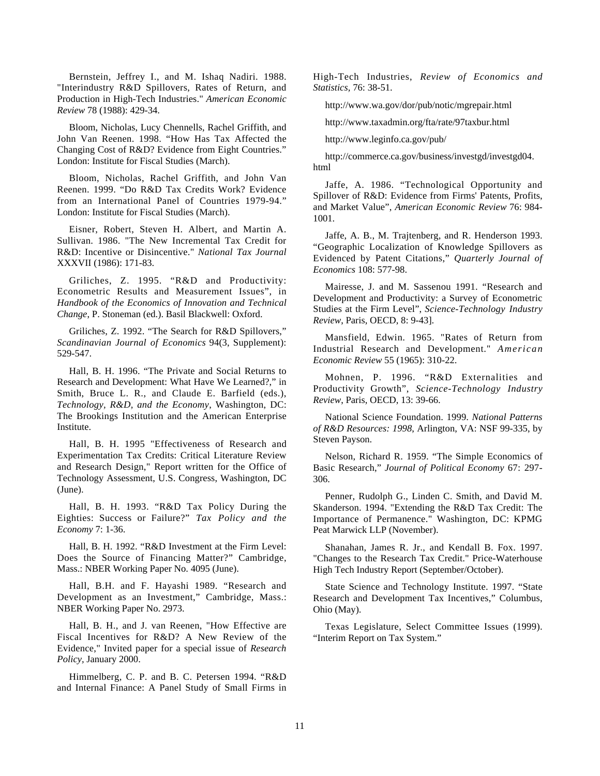Bernstein, Jeffrey I., and M. Ishaq Nadiri. 1988. "Interindustry R&D Spillovers, Rates of Return, and Production in High-Tech Industries." *American Economic Review* 78 (1988): 429-34.

Bloom, Nicholas, Lucy Chennells, Rachel Griffith, and John Van Reenen. 1998. "How Has Tax Affected the Changing Cost of R&D? Evidence from Eight Countries." London: Institute for Fiscal Studies (March).

Bloom, Nicholas, Rachel Griffith, and John Van Reenen. 1999. "Do R&D Tax Credits Work? Evidence from an International Panel of Countries 1979-94." London: Institute for Fiscal Studies (March).

Eisner, Robert, Steven H. Albert, and Martin A. Sullivan. 1986. "The New Incremental Tax Credit for R&D: Incentive or Disincentive." *National Tax Journal* XXXVII (1986): 171-83.

Griliches, Z. 1995. "R&D and Productivity: Econometric Results and Measurement Issues", in *Handbook of the Economics of Innovation and Technical Change*, P. Stoneman (ed.). Basil Blackwell: Oxford.

Griliches, Z. 1992. "The Search for R&D Spillovers," *Scandinavian Journal of Economics* 94(3, Supplement): 529-547.

Hall, B. H. 1996. "The Private and Social Returns to Research and Development: What Have We Learned?," in Smith, Bruce L. R., and Claude E. Barfield (eds.), *Technology, R&D, and the Economy*, Washington, DC: The Brookings Institution and the American Enterprise Institute.

Hall, B. H. 1995 "Effectiveness of Research and Experimentation Tax Credits: Critical Literature Review and Research Design," Report written for the Office of Technology Assessment, U.S. Congress, Washington, DC (June).

Hall, B. H. 1993. "R&D Tax Policy During the Eighties: Success or Failure?" *Tax Policy and the Economy* 7: 1-36.

Hall, B. H. 1992. "R&D Investment at the Firm Level: Does the Source of Financing Matter?" Cambridge, Mass.: NBER Working Paper No. 4095 (June).

Hall, B.H. and F. Hayashi 1989. "Research and Development as an Investment," Cambridge, Mass.: NBER Working Paper No. 2973.

Hall, B. H., and J. van Reenen, "How Effective are Fiscal Incentives for R&D? A New Review of the Evidence," Invited paper for a special issue of *Research Policy,* January 2000.

Himmelberg, C. P. and B. C. Petersen 1994. "R&D and Internal Finance: A Panel Study of Small Firms in High-Tech Industries, *Review of Economics and Statistics,* 76: 38-51.

http://www.wa.gov/dor/pub/notic/mgrepair.html

http://www.taxadmin.org/fta/rate/97taxbur.html

http://www.leginfo.ca.gov/pub/

http://commerce.ca.gov/business/investgd/investgd04. html

Jaffe, A. 1986. "Technological Opportunity and Spillover of R&D: Evidence from Firms' Patents, Profits, and Market Value", *American Economic Review* 76: 984- 1001.

Jaffe, A. B., M. Trajtenberg, and R. Henderson 1993. "Geographic Localization of Knowledge Spillovers as Evidenced by Patent Citations," *Quarterly Journal of Economics* 108: 577-98.

Mairesse, J. and M. Sassenou 1991. "Research and Development and Productivity: a Survey of Econometric Studies at the Firm Level", *Science-Technology Industry Review*, Paris, OECD, 8: 9-43].

Mansfield, Edwin. 1965. "Rates of Return from Industrial Research and Development." *American Economic Review* 55 (1965): 310-22.

Mohnen, P. 1996. "R&D Externalities and Productivity Growth", *Science-Technology Industry Review*, Paris, OECD, 13: 39-66.

National Science Foundation. 1999. *National Patterns of R&D Resources: 1998*, Arlington, VA: NSF 99-335, by Steven Payson.

Nelson, Richard R. 1959. "The Simple Economics of Basic Research," *Journal of Political Economy* 67: 297- 306.

Penner, Rudolph G., Linden C. Smith, and David M. Skanderson. 1994. "Extending the R&D Tax Credit: The Importance of Permanence." Washington, DC: KPMG Peat Marwick LLP (November).

Shanahan, James R. Jr., and Kendall B. Fox. 1997. "Changes to the Research Tax Credit." Price-Waterhouse High Tech Industry Report (September/October).

State Science and Technology Institute. 1997. "State Research and Development Tax Incentives," Columbus, Ohio (May).

Texas Legislature, Select Committee Issues (1999). "Interim Report on Tax System."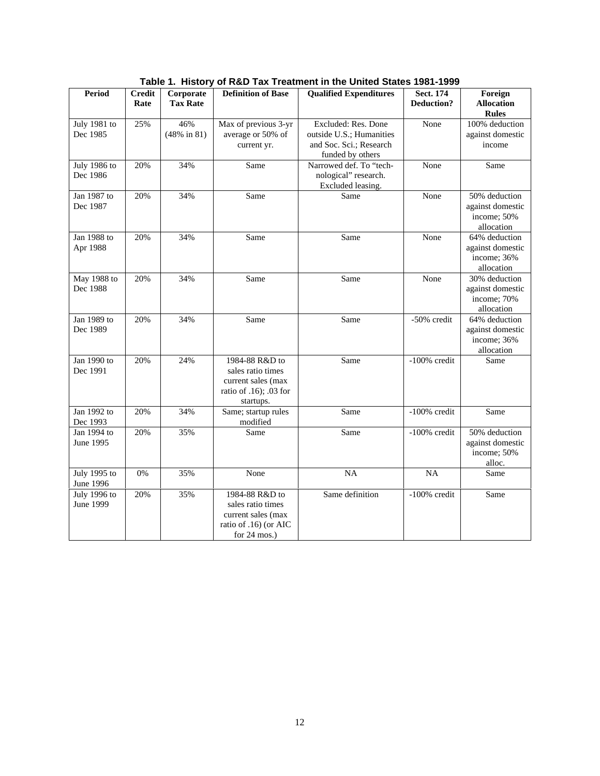| <b>Period</b>             | <b>Credit</b> | Corporate                      | <b>Qualified Expenditures</b><br><b>Definition of Base</b>                                                    |                                                                                                | <b>Sect. 174</b>  | Foreign                                                        |
|---------------------------|---------------|--------------------------------|---------------------------------------------------------------------------------------------------------------|------------------------------------------------------------------------------------------------|-------------------|----------------------------------------------------------------|
|                           | Rate          | <b>Tax Rate</b>                |                                                                                                               |                                                                                                | <b>Deduction?</b> | <b>Allocation</b><br><b>Rules</b>                              |
| July 1981 to<br>Dec 1985  | 25%           | 46%<br>$(48\% \text{ in } 81)$ | Max of previous 3-yr<br>average or 50% of<br>current yr.                                                      | Excluded: Res. Done<br>outside U.S.; Humanities<br>and Soc. Sci.; Research<br>funded by others | None              | 100% deduction<br>against domestic<br>income                   |
| July 1986 to<br>Dec 1986  | 20%           | 34%                            | Same                                                                                                          | Narrowed def. To "tech-<br>nological" research.<br>Excluded leasing.                           | None              | Same                                                           |
| Jan 1987 to<br>Dec 1987   | 20%           | 34%                            | Same                                                                                                          | Same                                                                                           | None              | 50% deduction<br>against domestic<br>income: 50%<br>allocation |
| Jan 1988 to<br>Apr 1988   | 20%           | 34%                            | Same                                                                                                          | Same                                                                                           | None              | 64% deduction<br>against domestic<br>income; 36%<br>allocation |
| May 1988 to<br>Dec 1988   | 20%           | 34%                            | Same                                                                                                          | Same                                                                                           | None              | 30% deduction<br>against domestic<br>income; 70%<br>allocation |
| Jan 1989 to<br>Dec 1989   | 20%           | 34%                            | Same                                                                                                          | Same                                                                                           | -50% credit       | 64% deduction<br>against domestic<br>income; 36%<br>allocation |
| Jan 1990 to<br>Dec 1991   | 20%           | 24%                            | 1984-88 R&D to<br>sales ratio times<br>current sales (max<br>ratio of .16); .03 for<br>startups.              | Same                                                                                           | -100% credit      | Same                                                           |
| Jan 1992 to<br>Dec 1993   | 20%           | 34%                            | Same; startup rules<br>modified                                                                               | Same                                                                                           | $-100\%$ credit   | Same                                                           |
| Jan 1994 to<br>June 1995  | 20%           | 35%                            | Same                                                                                                          | Same                                                                                           | $-100\%$ credit   | 50% deduction<br>against domestic<br>income; 50%<br>alloc.     |
| July 1995 to<br>June 1996 | 0%            | 35%                            | None                                                                                                          | NA                                                                                             | NA                | Same                                                           |
| July 1996 to<br>June 1999 | 20%           | 35%                            | 1984-88 R&D to<br>sales ratio times<br>current sales (max<br>ratio of .16) (or AIC<br>for $24 \text{ mos.}$ ) | Same definition                                                                                | -100% credit      | Same                                                           |

**Table 1. History of R&D Tax Treatment in the United States 1981-1999**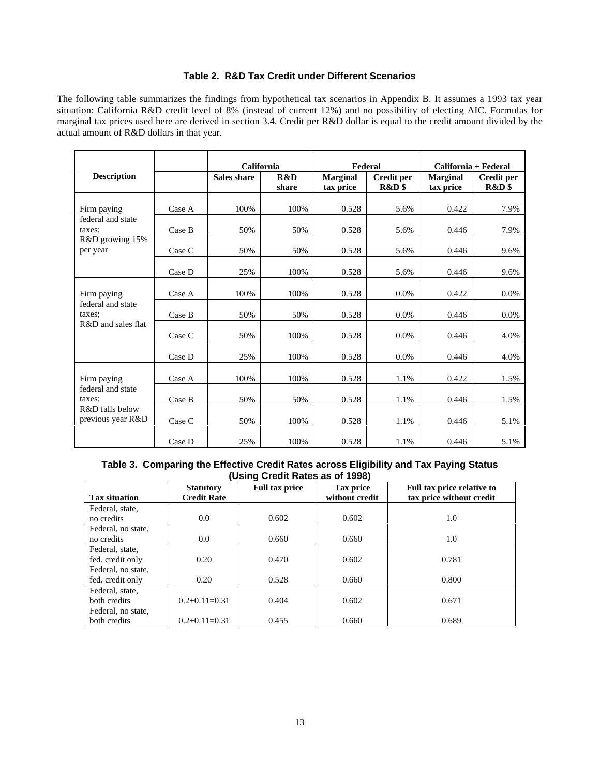### **Table 2. R&D Tax Credit under Different Scenarios**

The following table summarizes the findings from hypothetical tax scenarios in Appendix B. It assumes a 1993 tax year situation: California R&D credit level of 8% (instead of current 12%) and no possibility of electing AIC. Formulas for marginal tax prices used here are derived in section 3.4. Credit per R&D dollar is equal to the credit amount divided by the actual amount of R&D dollars in that year.

|                                      |        | California         |              | Federal                      |                     |                              | California + Federal       |
|--------------------------------------|--------|--------------------|--------------|------------------------------|---------------------|------------------------------|----------------------------|
| <b>Description</b>                   |        | <b>Sales share</b> | R&D<br>share | <b>Marginal</b><br>tax price | Credit per<br>R&D\$ | <b>Marginal</b><br>tax price | <b>Credit per</b><br>R&D\$ |
| Firm paying                          | Case A | 100%               | 100%         | 0.528                        | 5.6%                | 0.422                        | 7.9%                       |
| federal and state<br>taxes:          | Case B | 50%                | 50%          | 0.528                        | 5.6%                | 0.446                        | 7.9%                       |
| R&D growing 15%<br>per year          | Case C | 50%                | 50%          | 0.528                        | 5.6%                | 0.446                        | 9.6%                       |
|                                      | Case D | 25%                | 100%         | 0.528                        | 5.6%                | 0.446                        | 9.6%                       |
| Firm paying                          | Case A | 100%               | 100%         | 0.528                        | $0.0\%$             | 0.422                        | $0.0\%$                    |
| federal and state<br>taxes:          | Case B | 50%                | 50%          | 0.528                        | 0.0%                | 0.446                        | 0.0%                       |
| R&D and sales flat                   | Case C | 50%                | 100%         | 0.528                        | 0.0%                | 0.446                        | 4.0%                       |
|                                      | Case D | 25%                | 100%         | 0.528                        | 0.0%                | 0.446                        | 4.0%                       |
| Firm paying                          | Case A | 100%               | 100%         | 0.528                        | 1.1%                | 0.422                        | 1.5%                       |
| federal and state<br>taxes:          | Case B | 50%                | 50%          | 0.528                        | 1.1%                | 0.446                        | 1.5%                       |
| R&D falls below<br>previous year R&D | Case C | 50%                | 100%         | 0.528                        | 1.1%                | 0.446                        | 5.1%                       |
|                                      | Case D | 25%                | 100%         | 0.528                        | 1.1%                | 0.446                        | 5.1%                       |

### **Table 3. Comparing the Effective Credit Rates across Eligibility and Tax Paying Status (Using Credit Rates as of 1998)**

|                      | $\mathbf{v}$<br><b>Statutory</b> | <b>Full tax price</b> | Tax price      | Full tax price relative to |
|----------------------|----------------------------------|-----------------------|----------------|----------------------------|
| <b>Tax situation</b> | <b>Credit Rate</b>               |                       | without credit | tax price without credit   |
| Federal, state,      |                                  |                       |                |                            |
| no credits           | 0.0                              | 0.602                 | 0.602          | 1.0                        |
| Federal, no state,   |                                  |                       |                |                            |
| no credits           | 0.0                              | 0.660                 | 0.660          | 1.0                        |
| Federal, state,      |                                  |                       |                |                            |
| fed. credit only     | 0.20                             | 0.470                 | 0.602          | 0.781                      |
| Federal, no state,   |                                  |                       |                |                            |
| fed. credit only     | 0.20                             | 0.528                 | 0.660          | 0.800                      |
| Federal, state,      |                                  |                       |                |                            |
| both credits         | $0.2+0.11=0.31$                  | 0.404                 | 0.602          | 0.671                      |
| Federal, no state,   |                                  |                       |                |                            |
| both credits         | $0.2+0.11=0.31$                  | 0.455                 | 0.660          | 0.689                      |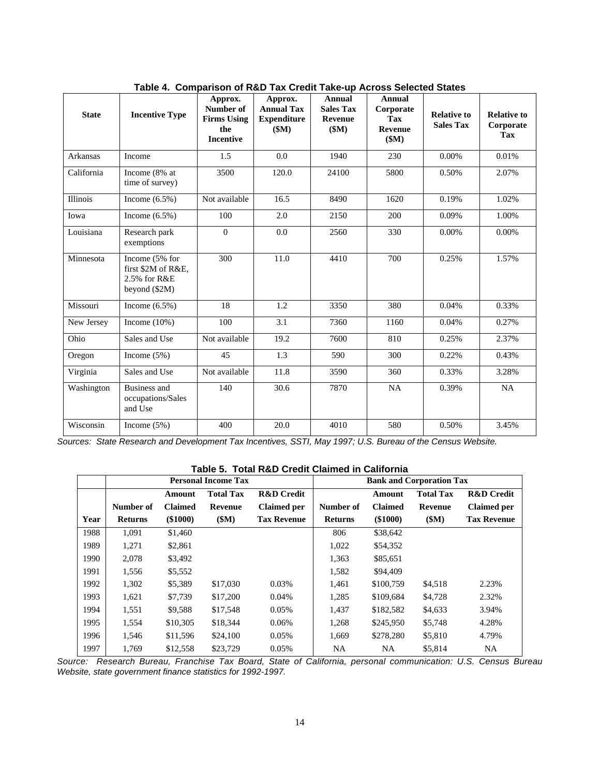| <b>State</b>    | <b>Incentive Type</b>                                                 | Approx.<br>Number of<br><b>Firms Using</b><br>the<br><b>Incentive</b> | Approx.<br><b>Annual Tax</b><br><b>Expenditure</b><br>(SM) | <b>Annual</b><br><b>Sales Tax</b><br>Revenue<br>(SM) | Annual<br>Corporate<br><b>Tax</b><br>Revenue<br>\$M) | <b>Relative to</b><br><b>Sales Tax</b> | <b>Relative to</b><br>Corporate<br><b>Tax</b> |
|-----------------|-----------------------------------------------------------------------|-----------------------------------------------------------------------|------------------------------------------------------------|------------------------------------------------------|------------------------------------------------------|----------------------------------------|-----------------------------------------------|
| <b>Arkansas</b> | Income                                                                | 1.5                                                                   | 0.0                                                        | 1940                                                 | 230                                                  | 0.00%                                  | 0.01%                                         |
| California      | Income (8% at<br>time of survey)                                      | 3500                                                                  | 120.0                                                      | 24100                                                | 5800                                                 | 0.50%                                  | 2.07%                                         |
| Illinois        | Income $(6.5\%)$                                                      | Not available                                                         | 16.5                                                       | 8490                                                 | 1620                                                 | 0.19%                                  | 1.02%                                         |
| Iowa            | Income $(6.5\%)$                                                      | 100                                                                   | 2.0                                                        | 2150                                                 | 200                                                  | 0.09%                                  | 1.00%                                         |
| Louisiana       | Research park<br>exemptions                                           | $\theta$                                                              | 0.0                                                        | 2560                                                 | 330                                                  | 0.00%                                  | 0.00%                                         |
| Minnesota       | Income (5% for<br>first \$2M of R&E.<br>2.5% for R&E<br>beyond (\$2M) | 300                                                                   | 11.0                                                       | 4410                                                 | 700                                                  | 0.25%                                  | 1.57%                                         |
| Missouri        | Income $(6.5\%)$                                                      | 18                                                                    | 1.2                                                        | 3350                                                 | 380                                                  | 0.04%                                  | 0.33%                                         |
| New Jersey      | Income $(10\%)$                                                       | 100                                                                   | 3.1                                                        | 7360                                                 | 1160                                                 | 0.04%                                  | 0.27%                                         |
| Ohio            | Sales and Use                                                         | Not available                                                         | 19.2                                                       | 7600                                                 | 810                                                  | 0.25%                                  | 2.37%                                         |
| Oregon          | Income $(5\%)$                                                        | 45                                                                    | 1.3                                                        | 590                                                  | 300                                                  | 0.22%                                  | 0.43%                                         |
| Virginia        | Sales and Use                                                         | Not available                                                         | 11.8                                                       | 3590                                                 | 360                                                  | 0.33%                                  | 3.28%                                         |
| Washington      | <b>Business and</b><br>occupations/Sales<br>and Use                   | 140                                                                   | 30.6                                                       | 7870                                                 | NA                                                   | 0.39%                                  | <b>NA</b>                                     |
| Wisconsin       | Income $(5\%)$                                                        | 400                                                                   | 20.0                                                       | 4010                                                 | 580                                                  | 0.50%                                  | 3.45%                                         |

**Table 4. Comparison of R&D Tax Credit Take-up Across Selected States**

*Sources: State Research and Development Tax Incentives, SSTI, May 1997; U.S. Bureau of the Census Website.*

**Table 5. Total R&D Credit Claimed in California**

|      |                |                | <b>Personal Income Tax</b> |                       |                |                | <b>Bank and Corporation Tax</b> |                       |
|------|----------------|----------------|----------------------------|-----------------------|----------------|----------------|---------------------------------|-----------------------|
|      |                | Amount         | <b>Total Tax</b>           | <b>R&amp;D</b> Credit |                | Amount         | <b>Total Tax</b>                | <b>R&amp;D</b> Credit |
|      | Number of      | <b>Claimed</b> | Revenue                    | <b>Claimed per</b>    | Number of      | <b>Claimed</b> | Revenue                         | <b>Claimed per</b>    |
| Year | <b>Returns</b> | (\$1000)       | \$M\$                      | <b>Tax Revenue</b>    | <b>Returns</b> | (\$1000)       | (SM)                            | <b>Tax Revenue</b>    |
| 1988 | 1,091          | \$1,460        |                            |                       | 806            | \$38,642       |                                 |                       |
| 1989 | 1,271          | \$2,861        |                            |                       | 1,022          | \$54,352       |                                 |                       |
| 1990 | 2,078          | \$3,492        |                            |                       | 1,363          | \$85,651       |                                 |                       |
| 1991 | 1,556          | \$5,552        |                            |                       | 1,582          | \$94,409       |                                 |                       |
| 1992 | 1,302          | \$5,389        | \$17,030                   | 0.03%                 | 1,461          | \$100,759      | \$4,518                         | 2.23%                 |
| 1993 | 1,621          | \$7,739        | \$17,200                   | 0.04%                 | 1,285          | \$109,684      | \$4,728                         | 2.32%                 |
| 1994 | 1,551          | \$9,588        | \$17,548                   | 0.05%                 | 1,437          | \$182,582      | \$4,633                         | 3.94%                 |
| 1995 | 1,554          | \$10,305       | \$18,344                   | 0.06%                 | 1.268          | \$245,950      | \$5,748                         | 4.28%                 |
| 1996 | 1,546          | \$11,596       | \$24,100                   | 0.05%                 | 1,669          | \$278,280      | \$5,810                         | 4.79%                 |
| 1997 | 1,769          | \$12,558       | \$23,729                   | 0.05%                 | NA             | <b>NA</b>      | \$5,814                         | <b>NA</b>             |

*Source: Research Bureau, Franchise Tax Board, State of California, personal communication: U.S. Census Bureau Website, state government finance statistics for 1992-1997.*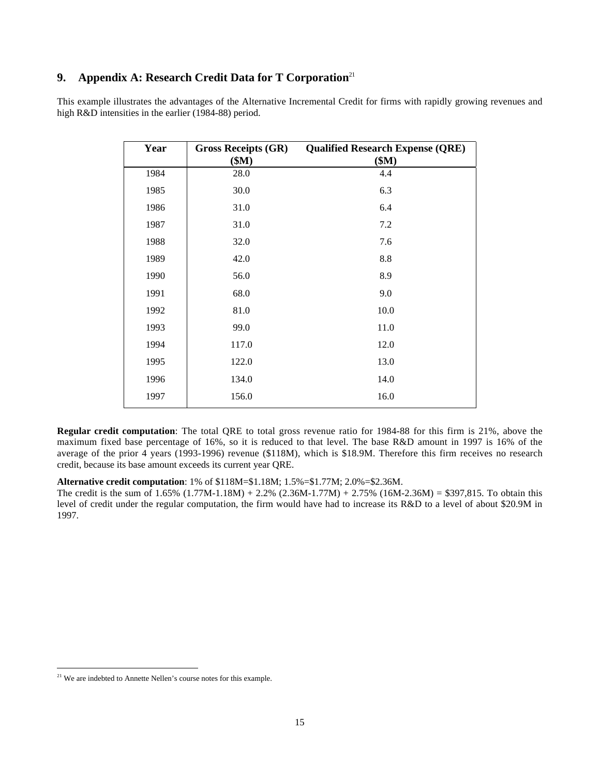## **9. Appendix A: Research Credit Data for T Corporation**<sup>21</sup>

This example illustrates the advantages of the Alternative Incremental Credit for firms with rapidly growing revenues and high R&D intensities in the earlier (1984-88) period.

| Year | <b>Gross Receipts (GR)</b><br>\$M\$ | <b>Qualified Research Expense (QRE)</b><br>\$M\$ |
|------|-------------------------------------|--------------------------------------------------|
| 1984 | 28.0                                | 4.4                                              |
| 1985 | 30.0                                | 6.3                                              |
| 1986 | 31.0                                | 6.4                                              |
| 1987 | 31.0                                | 7.2                                              |
| 1988 | 32.0                                | 7.6                                              |
| 1989 | 42.0                                | 8.8                                              |
| 1990 | 56.0                                | 8.9                                              |
| 1991 | 68.0                                | 9.0                                              |
| 1992 | 81.0                                | 10.0                                             |
| 1993 | 99.0                                | 11.0                                             |
| 1994 | 117.0                               | 12.0                                             |
| 1995 | 122.0                               | 13.0                                             |
| 1996 | 134.0                               | 14.0                                             |
| 1997 | 156.0                               | 16.0                                             |

**Regular credit computation**: The total QRE to total gross revenue ratio for 1984-88 for this firm is 21%, above the maximum fixed base percentage of 16%, so it is reduced to that level. The base R&D amount in 1997 is 16% of the average of the prior 4 years (1993-1996) revenue (\$118M), which is \$18.9M. Therefore this firm receives no research credit, because its base amount exceeds its current year QRE.

#### **Alternative credit computation**: 1% of \$118M=\$1.18M; 1.5%=\$1.77M; 2.0%=\$2.36M.

The credit is the sum of  $1.65\%$   $(1.77M-1.18M) + 2.2\%$   $(2.36M-1.77M) + 2.75\%$   $(16M-2.36M) = $397,815$ . To obtain this level of credit under the regular computation, the firm would have had to increase its R&D to a level of about \$20.9M in 1997.

<sup>&</sup>lt;sup>21</sup> We are indebted to Annette Nellen's course notes for this example.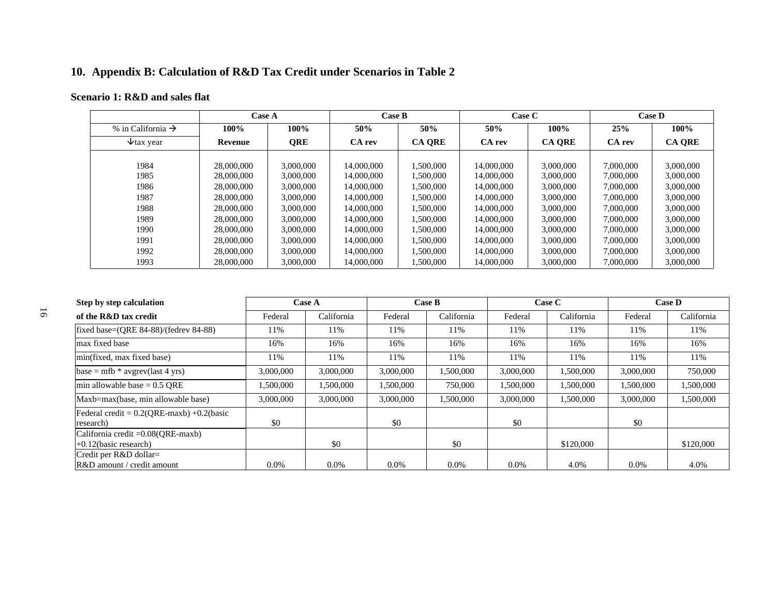# **10. Appendix B: Calculation of R&D Tax Credit under Scenarios in Table 2**

## **Scenario 1: R&D and sales flat**

|                               | <b>Case A</b> |            | Case B     |               | Case C     |               |           | <b>Case D</b> |
|-------------------------------|---------------|------------|------------|---------------|------------|---------------|-----------|---------------|
| % in California $\rightarrow$ | 100%          | 100%       | 50%        | 50%           | 50%        | $100\%$       | 25%       | 100%          |
| $\forall$ tax year            | Revenue       | <b>ORE</b> | CA rev     | <b>CA ORE</b> | CA rev     | <b>CA ORE</b> | CA rev    | <b>CA QRE</b> |
|                               |               |            |            |               |            |               |           |               |
| 1984                          | 28,000,000    | 3,000,000  | 14,000,000 | 1.500.000     | 14,000,000 | 3,000,000     | 7,000,000 | 3,000,000     |
| 1985                          | 28,000,000    | 3,000,000  | 14,000,000 | 1.500.000     | 14,000,000 | 3,000,000     | 7,000,000 | 3,000,000     |
| 1986                          | 28,000,000    | 3,000,000  | 14,000,000 | 1,500,000     | 14,000,000 | 3,000,000     | 7,000,000 | 3,000,000     |
| 1987                          | 28,000,000    | 3,000,000  | 14,000,000 | 1,500,000     | 14,000,000 | 3,000,000     | 7,000,000 | 3,000,000     |
| 1988                          | 28,000,000    | 3,000,000  | 14,000,000 | 1.500.000     | 14,000,000 | 3,000,000     | 7,000,000 | 3,000,000     |
| 1989                          | 28,000,000    | 3,000,000  | 14,000,000 | 1,500,000     | 14,000,000 | 3,000,000     | 7,000,000 | 3,000,000     |
| 1990                          | 28,000,000    | 3,000,000  | 14,000,000 | 1,500,000     | 14,000,000 | 3,000,000     | 7,000,000 | 3,000,000     |
| 1991                          | 28,000,000    | 3,000,000  | 14,000,000 | 1.500.000     | 14,000,000 | 3,000,000     | 7,000,000 | 3,000,000     |
| 1992                          | 28,000,000    | 3,000,000  | 14,000,000 | 1,500,000     | 14,000,000 | 3,000,000     | 7,000,000 | 3,000,000     |
| 1993                          | 28,000,000    | 3,000,000  | 14,000,000 | 1,500,000     | 14,000,000 | 3,000,000     | 7,000,000 | 3,000,000     |

| Step by step calculation                                       |           | Case A     |           | Case B     |           | <b>Case C</b> | <b>Case D</b> |            |
|----------------------------------------------------------------|-----------|------------|-----------|------------|-----------|---------------|---------------|------------|
| of the R&D tax credit                                          | Federal   | California | Federal   | California | Federal   | California    | Federal       | California |
| fixed base=(QRE 84-88)/(fedrev 84-88)                          | 11%       | 11%        | 11%       | 11%        | 11%       | 11%           | 11%           | 11%        |
| max fixed base                                                 | 16%       | 16%        | 16%       | 16%        | 16%       | 16%           | 16%           | 16%        |
| min(fixed, max fixed base)                                     | 11%       | 11%        | 11%       | 11%        | 11%       | 11%           | 11%           | 11%        |
| base = $mfb * avgrevu$ (last 4 yrs)                            | 3,000,000 | 3,000,000  | 3,000,000 | 1.500.000  | 3,000,000 | 1,500,000     | 3,000,000     | 750,000    |
| min allowable base = $0.5$ QRE                                 | 1.500.000 | 1.500.000  | 1.500.000 | 750,000    | 1,500,000 | 1,500,000     | 1.500.000     | 1,500,000  |
| Maxb=max(base, min allowable base)                             | 3,000,000 | 3,000,000  | 3,000,000 | 1.500.000  | 3,000,000 | 1,500,000     | 3,000,000     | 1,500,000  |
| Federal credit = $0.2(QRE-maxb) +0.2(basic$<br>research)       | \$0       |            | \$0       |            | \$0       |               | \$0           |            |
| California credit = 0.08(QRE-maxb)<br>$+0.12$ (basic research) |           | \$0        |           | \$0        |           | \$120,000     |               | \$120,000  |
| Credit per R&D dollar=<br>R&D amount / credit amount           | $0.0\%$   | $0.0\%$    | 0.0%      | $0.0\%$    | 0.0%      | 4.0%          | $0.0\%$       | 4.0%       |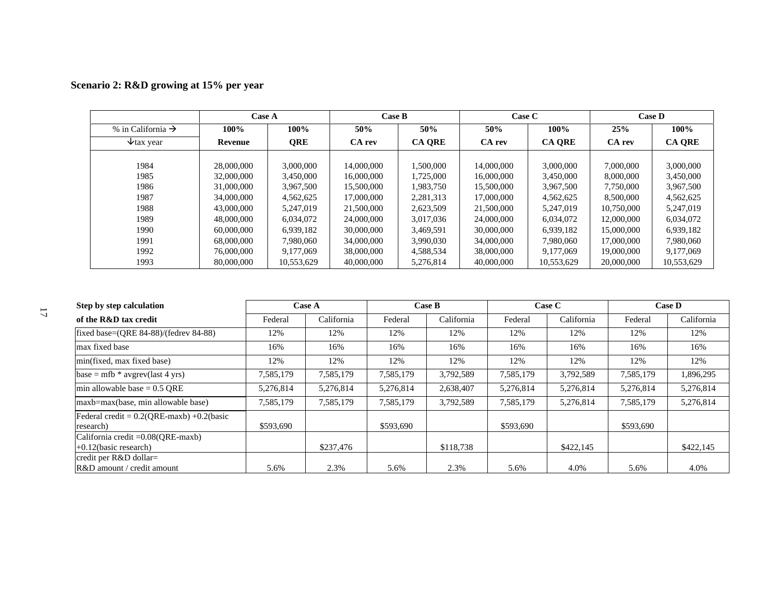|                               | <b>Case A</b> |            | Case B     |               | Case C     |               |            | <b>Case D</b> |
|-------------------------------|---------------|------------|------------|---------------|------------|---------------|------------|---------------|
| % in California $\rightarrow$ | 100%          | 100%       | 50%        | 50%           | 50%        | $100\%$       | 25%        | 100%          |
| $\forall$ tax year            | Revenue       | <b>QRE</b> | CA rev     | <b>CA ORE</b> | CA rev     | <b>CA ORE</b> | CA rev     | <b>CA QRE</b> |
|                               |               |            |            |               |            |               |            |               |
| 1984                          | 28,000,000    | 3,000,000  | 14,000,000 | 1.500.000     | 14,000,000 | 3,000,000     | 7,000,000  | 3,000,000     |
| 1985                          | 32,000,000    | 3,450,000  | 16,000,000 | 1,725,000     | 16,000,000 | 3.450,000     | 8,000,000  | 3,450,000     |
| 1986                          | 31,000,000    | 3,967,500  | 15,500,000 | 1,983,750     | 15,500,000 | 3,967,500     | 7,750,000  | 3,967,500     |
| 1987                          | 34,000,000    | 4,562,625  | 17,000,000 | 2,281,313     | 17,000,000 | 4.562.625     | 8,500,000  | 4,562,625     |
| 1988                          | 43,000,000    | 5,247,019  | 21,500,000 | 2,623,509     | 21,500,000 | 5.247.019     | 10,750,000 | 5,247,019     |
| 1989                          | 48,000,000    | 6.034.072  | 24,000,000 | 3.017.036     | 24,000,000 | 6.034.072     | 12,000,000 | 6,034,072     |
| 1990                          | 60,000,000    | 6,939,182  | 30,000,000 | 3.469.591     | 30,000,000 | 6.939.182     | 15,000,000 | 6,939,182     |
| 1991                          | 68,000,000    | 7.980.060  | 34,000,000 | 3.990.030     | 34,000,000 | 7.980.060     | 17,000,000 | 7,980,060     |
| 1992                          | 76,000,000    | 9.177.069  | 38,000,000 | 4,588,534     | 38,000,000 | 9.177.069     | 19,000,000 | 9,177,069     |
| 1993                          | 80,000,000    | 10,553,629 | 40,000,000 | 5,276,814     | 40,000,000 | 10,553,629    | 20,000,000 | 10,553,629    |

| Scenario 2: R&D growing at 15% per year |  |  |
|-----------------------------------------|--|--|
|-----------------------------------------|--|--|

| Step by step calculation                                         |           | <b>Case A</b> | <b>Case B</b><br>Case C |            |           | <b>Case D</b> |           |            |
|------------------------------------------------------------------|-----------|---------------|-------------------------|------------|-----------|---------------|-----------|------------|
| of the R&D tax credit                                            | Federal   | California    | Federal                 | California | Federal   | California    | Federal   | California |
| fixed base=(QRE 84-88)/(fedrev 84-88)                            | 12%       | 12%           | 12%                     | 12%        | 12%       | 12%           | 12%       | 12%        |
| max fixed base                                                   | 16%       | 16%           | 16%                     | 16%        | 16%       | 16%           | 16%       | 16%        |
| min(fixed, max fixed base)                                       | 12%       | 12%           | 12%                     | 12%        | 12%       | 12%           | 12%       | 12%        |
| base = mfb $*$ avgrev(last 4 yrs)                                | 7,585,179 | 7,585,179     | 7,585,179               | 3,792,589  | 7,585,179 | 3,792,589     | 7,585,179 | 1,896,295  |
| min allowable base $= 0.5$ ORE                                   | 5,276,814 | 5,276,814     | 5,276,814               | 2,638,407  | 5,276,814 | 5,276,814     | 5,276,814 | 5,276,814  |
| maxb=max(base, min allowable base)                               | 7,585,179 | 7,585,179     | 7,585,179               | 3,792,589  | 7,585,179 | 5,276,814     | 7,585,179 | 5,276,814  |
| Federal credit = $0.2$ (ORE-maxb) +0.2(basic<br>research)        | \$593,690 |               | \$593,690               |            | \$593,690 |               | \$593,690 |            |
| California credit $=0.08$ (ORE-maxb)<br>$+0.12$ (basic research) |           | \$237,476     |                         | \$118,738  |           | \$422,145     |           | \$422,145  |
| credit per R&D dollar=<br>R&D amount / credit amount             | 5.6%      | 2.3%          | 5.6%                    | 2.3%       | 5.6%      | 4.0%          | 5.6%      | 4.0%       |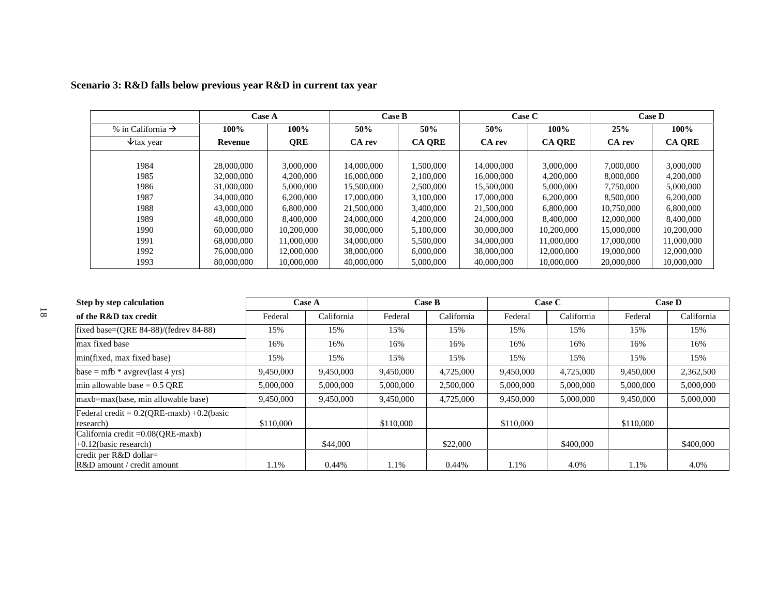|                               | <b>Case A</b> |            | <b>Case B</b> |               | Case C     |               |            | <b>Case D</b> |
|-------------------------------|---------------|------------|---------------|---------------|------------|---------------|------------|---------------|
| % in California $\rightarrow$ | $100\%$       | $100\%$    | 50%           | 50%           | 50%        | $100\%$       | 25%        | 100%          |
| $\forall$ tax year            | Revenue       | <b>QRE</b> | CA rev        | <b>CA ORE</b> | CA rev     | <b>CA ORE</b> | CA rev     | <b>CA ORE</b> |
|                               |               |            |               |               |            |               |            |               |
| 1984                          | 28,000,000    | 3,000,000  | 14,000,000    | 1.500.000     | 14,000,000 | 3,000,000     | 7,000,000  | 3,000,000     |
| 1985                          | 32,000,000    | 4,200,000  | 16,000,000    | 2.100,000     | 16,000,000 | 4,200,000     | 8,000,000  | 4,200,000     |
| 1986                          | 31,000,000    | 5,000,000  | 15,500,000    | 2.500,000     | 15,500,000 | 5,000,000     | 7,750,000  | 5,000,000     |
| 1987                          | 34,000,000    | 6,200,000  | 17,000,000    | 3.100.000     | 17,000,000 | 6,200,000     | 8,500,000  | 6,200,000     |
| 1988                          | 43,000,000    | 6,800,000  | 21,500,000    | 3,400,000     | 21,500,000 | 6,800,000     | 10,750,000 | 6,800,000     |
| 1989                          | 48,000,000    | 8.400.000  | 24,000,000    | 4.200,000     | 24,000,000 | 8,400,000     | 12,000,000 | 8,400,000     |
| 1990                          | 60,000,000    | 10,200,000 | 30,000,000    | 5,100,000     | 30,000,000 | 10,200,000    | 15,000,000 | 10,200,000    |
| 1991                          | 68,000,000    | 11,000,000 | 34,000,000    | 5,500,000     | 34,000,000 | 11,000,000    | 17,000,000 | 11,000,000    |
| 1992                          | 76,000,000    | 12,000,000 | 38,000,000    | 6,000,000     | 38,000,000 | 12,000,000    | 19,000,000 | 12,000,000    |
| 1993                          | 80,000,000    | 10,000,000 | 40,000,000    | 5,000,000     | 40,000,000 | 10,000,000    | 20,000,000 | 10,000,000    |

## **Scenario 3: R&D falls below previous year R&D in current tax year**

| Step by step calculation                                       |           | <b>Case A</b> |           | Case B     | Case C    |            | <b>Case D</b> |            |
|----------------------------------------------------------------|-----------|---------------|-----------|------------|-----------|------------|---------------|------------|
| of the R&D tax credit                                          | Federal   | California    | Federal   | California | Federal   | California | Federal       | California |
| fixed base=(QRE 84-88)/(fedrev 84-88)                          | 15%       | 15%           | 15%       | 15%        | 15%       | 15%        | 15%           | 15%        |
| max fixed base                                                 | 16%       | 16%           | 16%       | 16%        | 16%       | 16%        | 16%           | 16%        |
| min(fixed, max fixed base)                                     | 15%       | 15%           | 15%       | 15%        | 15%       | 15%        | 15%           | 15%        |
| base = $mfb * avgrevuast 4 yrs)$                               | 9,450,000 | 9,450,000     | 9,450,000 | 4,725,000  | 9,450,000 | 4,725,000  | 9,450,000     | 2,362,500  |
| min allowable base = $0.5$ ORE                                 | 5,000,000 | 5,000,000     | 5,000,000 | 2,500,000  | 5,000,000 | 5,000,000  | 5,000,000     | 5,000,000  |
| maxb=max(base, min allowable base)                             | 9.450,000 | 9,450,000     | 9,450,000 | 4,725,000  | 9,450,000 | 5,000,000  | 9,450,000     | 5,000,000  |
| Federal credit = $0.2(QRE-maxb) +0.2(basic$<br>research)       | \$110,000 |               | \$110,000 |            | \$110,000 |            | \$110,000     |            |
| California credit = 0.08(QRE-maxb)<br>$+0.12$ (basic research) |           | \$44,000      |           | \$22,000   |           | \$400,000  |               | \$400,000  |
| credit per R&D dollar=<br>R&D amount / credit amount           | 1.1%      | 0.44%         | 1.1%      | 0.44%      | 1.1%      | 4.0%       | 1.1%          | 4.0%       |